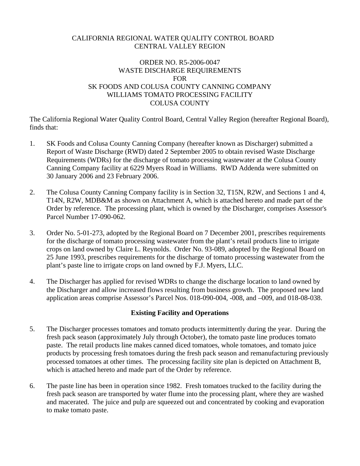### CALIFORNIA REGIONAL WATER QUALITY CONTROL BOARD CENTRAL VALLEY REGION

### ORDER NO. R5-2006-0047 WASTE DISCHARGE REQUIREMENTS FOR SK FOODS AND COLUSA COUNTY CANNING COMPANY WILLIAMS TOMATO PROCESSING FACILITY COLUSA COUNTY

The California Regional Water Quality Control Board, Central Valley Region (hereafter Regional Board), finds that:

- 1. SK Foods and Colusa County Canning Company (hereafter known as Discharger) submitted a Report of Waste Discharge (RWD) dated 2 September 2005 to obtain revised Waste Discharge Requirements (WDRs) for the discharge of tomato processing wastewater at the Colusa County Canning Company facility at 6229 Myers Road in Williams. RWD Addenda were submitted on 30 January 2006 and 23 February 2006.
- 2. The Colusa County Canning Company facility is in Section 32, T15N, R2W, and Sections 1 and 4, T14N, R2W, MDB&M as shown on Attachment A, which is attached hereto and made part of the Order by reference. The processing plant, which is owned by the Discharger, comprises Assessor's Parcel Number 17-090-062.
- 3. Order No. 5-01-273, adopted by the Regional Board on 7 December 2001, prescribes requirements for the discharge of tomato processing wastewater from the plant's retail products line to irrigate crops on land owned by Claire L. Reynolds. Order No. 93-089, adopted by the Regional Board on 25 June 1993, prescribes requirements for the discharge of tomato processing wastewater from the plant's paste line to irrigate crops on land owned by F.J. Myers, LLC.
- 4. The Discharger has applied for revised WDRs to change the discharge location to land owned by the Discharger and allow increased flows resulting from business growth. The proposed new land application areas comprise Assessor's Parcel Nos. 018-090-004, -008, and –009, and 018-08-038.

## **Existing Facility and Operations**

- 5. The Discharger processes tomatoes and tomato products intermittently during the year. During the fresh pack season (approximately July through October), the tomato paste line produces tomato paste. The retail products line makes canned diced tomatoes, whole tomatoes, and tomato juice products by processing fresh tomatoes during the fresh pack season and remanufacturing previously processed tomatoes at other times. The processing facility site plan is depicted on Attachment B, which is attached hereto and made part of the Order by reference.
- 6. The paste line has been in operation since 1982. Fresh tomatoes trucked to the facility during the fresh pack season are transported by water flume into the processing plant, where they are washed and macerated. The juice and pulp are squeezed out and concentrated by cooking and evaporation to make tomato paste.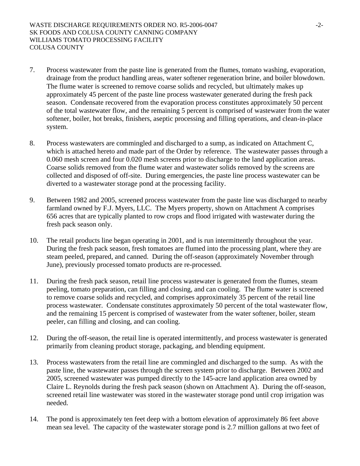- 7. Process wastewater from the paste line is generated from the flumes, tomato washing, evaporation, drainage from the product handling areas, water softener regeneration brine, and boiler blowdown. The flume water is screened to remove coarse solids and recycled, but ultimately makes up approximately 45 percent of the paste line process wastewater generated during the fresh pack season. Condensate recovered from the evaporation process constitutes approximately 50 percent of the total wastewater flow, and the remaining 5 percent is comprised of wastewater from the water softener, boiler, hot breaks, finishers, aseptic processing and filling operations, and clean-in-place system.
- 8. Process wastewaters are commingled and discharged to a sump, as indicated on Attachment C, which is attached hereto and made part of the Order by reference. The wastewater passes through a 0.060 mesh screen and four 0.020 mesh screens prior to discharge to the land application areas. Coarse solids removed from the flume water and wastewater solids removed by the screens are collected and disposed of off-site. During emergencies, the paste line process wastewater can be diverted to a wastewater storage pond at the processing facility.
- 9. Between 1982 and 2005, screened process wastewater from the paste line was discharged to nearby farmland owned by F.J. Myers, LLC. The Myers property, shown on Attachment A comprises 656 acres that are typically planted to row crops and flood irrigated with wastewater during the fresh pack season only.
- 10. The retail products line began operating in 2001, and is run intermittently throughout the year. During the fresh pack season, fresh tomatoes are flumed into the processing plant, where they are steam peeled, prepared, and canned. During the off-season (approximately November through June), previously processed tomato products are re-processed.
- 11. During the fresh pack season, retail line process wastewater is generated from the flumes, steam peeling, tomato preparation, can filling and closing, and can cooling. The flume water is screened to remove coarse solids and recycled, and comprises approximately 35 percent of the retail line process wastewater. Condensate constitutes approximately 50 percent of the total wastewater flow, and the remaining 15 percent is comprised of wastewater from the water softener, boiler, steam peeler, can filling and closing, and can cooling.
- 12. During the off-season, the retail line is operated intermittently, and process wastewater is generated primarily from cleaning product storage, packaging, and blending equipment.
- 13. Process wastewaters from the retail line are commingled and discharged to the sump. As with the paste line, the wastewater passes through the screen system prior to discharge. Between 2002 and 2005, screened wastewater was pumped directly to the 145-acre land application area owned by Claire L. Reynolds during the fresh pack season (shown on Attachment A). During the off-season, screened retail line wastewater was stored in the wastewater storage pond until crop irrigation was needed.
- 14. The pond is approximately ten feet deep with a bottom elevation of approximately 86 feet above mean sea level. The capacity of the wastewater storage pond is 2.7 million gallons at two feet of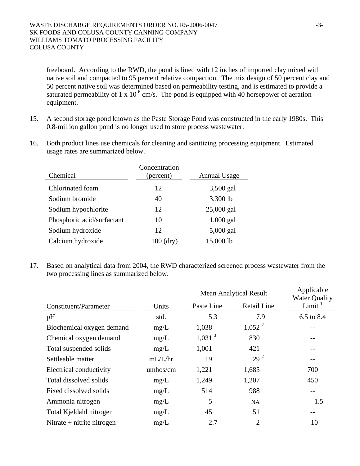freeboard. According to the RWD, the pond is lined with 12 inches of imported clay mixed with native soil and compacted to 95 percent relative compaction. The mix design of 50 percent clay and 50 percent native soil was determined based on permeability testing, and is estimated to provide a saturated permeability of 1 x  $10^{-6}$  cm/s. The pond is equipped with 40 horsepower of aeration equipment.

- 15. A second storage pond known as the Paste Storage Pond was constructed in the early 1980s. This 0.8-million gallon pond is no longer used to store process wastewater.
- 16. Both product lines use chemicals for cleaning and sanitizing processing equipment. Estimated usage rates are summarized below.

| Chemical                   | Concentration<br>(percent) | <b>Annual Usage</b> |
|----------------------------|----------------------------|---------------------|
| Chlorinated foam           | 12                         | 3,500 gal           |
| Sodium bromide             | 40                         | 3,300 lb            |
| Sodium hypochlorite        | 12                         | 25,000 gal          |
| Phosphoric acid/surfactant | 10                         | $1,000$ gal         |
| Sodium hydroxide           | 12                         | 5,000 gal           |
| Calcium hydroxide          | $100$ (dry)                | 15,000 lb           |

17. Based on analytical data from 2004, the RWD characterized screened process wastewater from the two processing lines as summarized below.

|                              |          | <b>Mean Analytical Result</b> | Applicable<br><b>Water Quality</b> |            |
|------------------------------|----------|-------------------------------|------------------------------------|------------|
| Constituent/Parameter        | Units    | Paste Line                    | <b>Retail Line</b>                 | Limit $1$  |
| pH                           | std.     | 5.3                           | 7.9                                | 6.5 to 8.4 |
| Biochemical oxygen demand    | mg/L     | 1,038                         | $1,052^2$                          |            |
| Chemical oxygen demand       | mg/L     | $1,031$ <sup>3</sup>          | 830                                | --         |
| Total suspended solids       | mg/L     | 1,001                         | 421                                | --         |
| Settleable matter            | mL/L/hr  | 19                            | 29 <sup>2</sup>                    | --         |
| Electrical conductivity      | umhos/cm | 1,221                         | 1,685                              | 700        |
| Total dissolved solids       | mg/L     | 1,249                         | 1,207                              | 450        |
| Fixed dissolved solids       | mg/L     | 514                           | 988                                | $-$        |
| Ammonia nitrogen             | mg/L     | 5                             | <b>NA</b>                          | 1.5        |
| Total Kjeldahl nitrogen      | mg/L     | 45                            | 51                                 | --         |
| Nitrate $+$ nitrite nitrogen | mg/L     | 2.7                           | $\overline{2}$                     | 10         |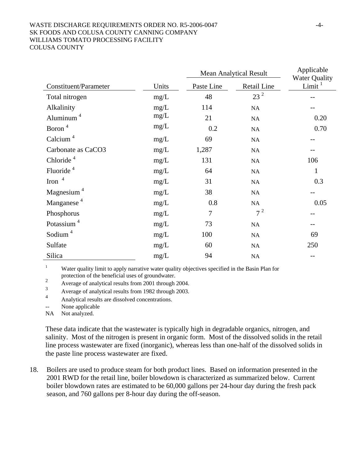#### WASTE DISCHARGE REQUIREMENTS ORDER NO. R5-2006-0047 -4-SK FOODS AND COLUSA COUNTY CANNING COMPANY WILLIAMS TOMATO PROCESSING FACILITY COLUSA COUNTY

|                                   |       | <b>Mean Analytical Result</b> |             | Applicable<br><b>Water Quality</b> |
|-----------------------------------|-------|-------------------------------|-------------|------------------------------------|
| <b>Constituent/Parameter</b>      | Units | Paste Line                    | Retail Line | Limit $1$                          |
| Total nitrogen                    | mg/L  | 48                            | $23^2$      |                                    |
| Alkalinity                        | mg/L  | 114                           | NA          |                                    |
| Aluminum <sup>4</sup>             | mg/L  | 21                            | NA          | 0.20                               |
| Boron <sup>4</sup>                | mg/L  | 0.2                           | NA          | 0.70                               |
| Calcium <sup><math>4</math></sup> | mg/L  | 69                            | NA          |                                    |
| Carbonate as CaCO3                | mg/L  | 1,287                         | NA          |                                    |
| Chloride <sup>4</sup>             | mg/L  | 131                           | NA          | 106                                |
| Fluoride <sup>4</sup>             | mg/L  | 64                            | NA          | $\mathbf{1}$                       |
| Iron $4$                          | mg/L  | 31                            | NA          | 0.3                                |
| Magnesium <sup>4</sup>            | mg/L  | 38                            | NA          | --                                 |
| Manganese <sup>4</sup>            | mg/L  | 0.8                           | NA          | 0.05                               |
| Phosphorus                        | mg/L  | $\overline{7}$                | $7^2$       | --                                 |
| Potassium <sup>4</sup>            | mg/L  | 73                            | NA          | $- -$                              |
| Sodium <sup><math>4</math></sup>  | mg/L  | 100                           | NA          | 69                                 |
| Sulfate                           | mg/L  | 60                            | NA          | 250                                |
| Silica                            | mg/L  | 94                            | NA          |                                    |

1 Water quality limit to apply narrative water quality objectives specified in the Basin Plan for protection of the beneficial uses of groundwater.

2 Average of analytical results from 2001 through 2004.

3 Average of analytical results from 1982 through 2003.

4 Analytical results are dissolved concentrations.

None applicable

NA Not analyzed.

These data indicate that the wastewater is typically high in degradable organics, nitrogen, and salinity. Most of the nitrogen is present in organic form. Most of the dissolved solids in the retail line process wastewater are fixed (inorganic), whereas less than one-half of the dissolved solids in the paste line process wastewater are fixed.

18. Boilers are used to produce steam for both product lines. Based on information presented in the 2001 RWD for the retail line, boiler blowdown is characterized as summarized below. Current boiler blowdown rates are estimated to be 60,000 gallons per 24-hour day during the fresh pack season, and 760 gallons per 8-hour day during the off-season.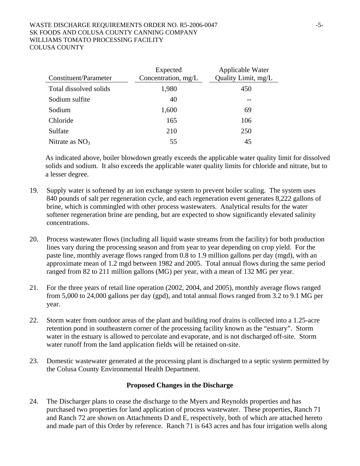#### WASTE DISCHARGE REQUIREMENTS ORDER NO. R5-2006-0047 -5-SK FOODS AND COLUSA COUNTY CANNING COMPANY WILLIAMS TOMATO PROCESSING FACILITY COLUSA COUNTY

| Constituent/Parameter  | Expected<br>Concentration, mg/L | Applicable Water<br>Quality Limit, mg/L |
|------------------------|---------------------------------|-----------------------------------------|
| Total dissolved solids | 1,980                           | 450                                     |
| Sodium sulfite         | 40                              |                                         |
| Sodium                 | 1,600                           | 69                                      |
| Chloride               | 165                             | 106                                     |
| Sulfate                | 210                             | 250                                     |
| Nitrate as $NO3$       | 55                              | 45                                      |

As indicated above, boiler blowdown greatly exceeds the applicable water quality limit for dissolved solids and sodium. It also exceeds the applicable water quality limits for chloride and nitrate, but to a lesser degree.

- 19. Supply water is softened by an ion exchange system to prevent boiler scaling. The system uses 840 pounds of salt per regeneration cycle, and each regeneration event generates 8,222 gallons of brine, which is commingled with other process wastewaters. Analytical results for the water softener regeneration brine are pending, but are expected to show significantly elevated salinity concentrations.
- 20. Process wastewater flows (including all liquid waste streams from the facility) for both production lines vary during the processing season and from year to year depending on crop yield. For the paste line, monthly average flows ranged from 0.8 to 1.9 million gallons per day (mgd), with an approximate mean of 1.2 mgd between 1982 and 2005. Total annual flows during the same period ranged from 82 to 211 million gallons (MG) per year, with a mean of 132 MG per year.
- 21. For the three years of retail line operation (2002, 2004, and 2005), monthly average flows ranged from 5,000 to 24,000 gallons per day (gpd), and total annual flows ranged from 3.2 to 9.1 MG per year.
- 22. Storm water from outdoor areas of the plant and building roof drains is collected into a 1.25-acre retention pond in southeastern corner of the processing facility known as the "estuary". Storm water in the estuary is allowed to percolate and evaporate, and is not discharged off-site. Storm water runoff from the land application fields will be retained on-site.
- 23. Domestic wastewater generated at the processing plant is discharged to a septic system permitted by the Colusa County Environmental Health Department.

## **Proposed Changes in the Discharge**

24. The Discharger plans to cease the discharge to the Myers and Reynolds properties and has purchased two properties for land application of process wastewater. These properties, Ranch 71 and Ranch 72 are shown on Attachments D and E, respectively, both of which are attached hereto and made part of this Order by reference. Ranch 71 is 643 acres and has four irrigation wells along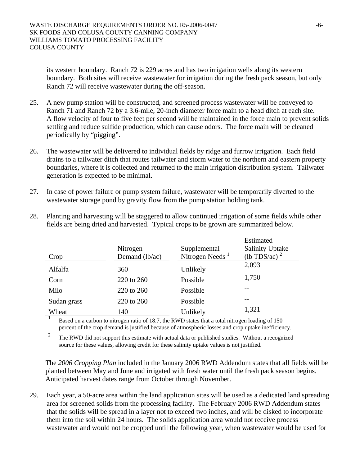its western boundary. Ranch 72 is 229 acres and has two irrigation wells along its western boundary. Both sites will receive wastewater for irrigation during the fresh pack season, but only Ranch 72 will receive wastewater during the off-season.

- 25. A new pump station will be constructed, and screened process wastewater will be conveyed to Ranch 71 and Ranch 72 by a 3.6-mile, 20-inch diameter force main to a head ditch at each site. A flow velocity of four to five feet per second will be maintained in the force main to prevent solids settling and reduce sulfide production, which can cause odors. The force main will be cleaned periodically by "pigging".
- 26. The wastewater will be delivered to individual fields by ridge and furrow irrigation. Each field drains to a tailwater ditch that routes tailwater and storm water to the northern and eastern property boundaries, where it is collected and returned to the main irrigation distribution system. Tailwater generation is expected to be minimal.
- 27. In case of power failure or pump system failure, wastewater will be temporarily diverted to the wastewater storage pond by gravity flow from the pump station holding tank.

|             |                |                    | Estimated              |
|-------------|----------------|--------------------|------------------------|
|             | Nitrogen       | Supplemental       | <b>Salinity Uptake</b> |
| Crop        | Demand (lb/ac) | Nitrogen Needs $1$ | (lb TDS/ac) $^2$       |
| Alfalfa     | 360            | Unlikely           | 2,093                  |
| Corn        | 220 to 260     | Possible           | 1,750                  |
| Milo        | 220 to 260     | Possible           |                        |
| Sudan grass | 220 to 260     | Possible           |                        |
| Wheat       | 140            | Unlikely           | 1,321                  |

28. Planting and harvesting will be staggered to allow continued irrigation of some fields while other fields are being dried and harvested. Typical crops to be grown are summarized below.

Based on a carbon to nitrogen ratio of 18.7, the RWD states that a total nitrogen loading of 150 percent of the crop demand is justified because of atmospheric losses and crop uptake inefficiency.

<sup>2</sup> The RWD did not support this estimate with actual data or published studies. Without a recognized source for these values, allowing credit for these salinity uptake values is not justified.

The *2006 Cropping Plan* included in the January 2006 RWD Addendum states that all fields will be planted between May and June and irrigated with fresh water until the fresh pack season begins. Anticipated harvest dates range from October through November.

29. Each year, a 50-acre area within the land application sites will be used as a dedicated land spreading area for screened solids from the processing facility. The February 2006 RWD Addendum states that the solids will be spread in a layer not to exceed two inches, and will be disked to incorporate them into the soil within 24 hours. The solids application area would not receive process wastewater and would not be cropped until the following year, when wastewater would be used for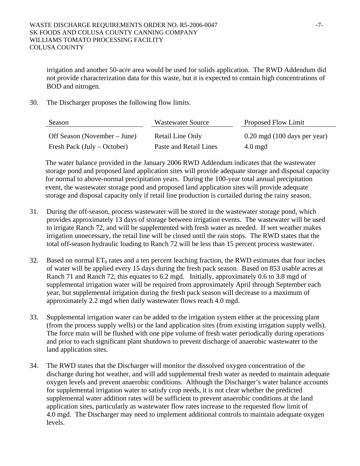irrigation and another 50-acre area would be used for solids application. The RWD Addendum did not provide characterization data for this waste, but it is expected to contain high concentrations of BOD and nitrogen.

30. The Discharger proposes the following flow limits.

| Season                       | Wastewater Source      | Proposed Flow Limit                       |
|------------------------------|------------------------|-------------------------------------------|
| Off Season (November – June) | Retail Line Only       | $0.20 \,\mathrm{mgd}$ (100 days per year) |
| Fresh Pack (July – October)  | Paste and Retail Lines | $4.0 \text{ mgd}$                         |

The water balance provided in the January 2006 RWD Addendum indicates that the wastewater storage pond and proposed land application sites will provide adequate storage and disposal capacity for normal to above-normal precipitation years. During the 100-year total annual precipitation event, the wastewater storage pond and proposed land application sites will provide adequate storage and disposal capacity only if retail line production is curtailed during the rainy season.

- 31. During the off-season, process wastewater will be stored in the wastewater storage pond, which provides approximately 13 days of storage between irrigation events. The wastewater will be used to irrigate Ranch 72, and will be supplemented with fresh water as needed. If wet weather makes irrigation unnecessary, the retail line will be closed until the rain stops. The RWD states that the total off-season hydraulic loading to Ranch 72 will be less than 15 percent process wastewater.
- 32. Based on normal  $ET_0$  rates and a ten percent leaching fraction, the RWD estimates that four inches of water will be applied every 15 days during the fresh pack season. Based on 853 usable acres at Ranch 71 and Ranch 72, this equates to 6.2 mgd. Initially, approximately 0.6 to 3.8 mgd of supplemental irrigation water will be required from approximately April through September each year, but supplemental irrigation during the fresh pack season will decrease to a maximum of approximately 2.2 mgd when daily wastewater flows reach 4.0 mgd.
- 33. Supplemental irrigation water can be added to the irrigation system either at the processing plant (from the process supply wells) or the land application sites (from existing irrigation supply wells). The force main will be flushed with one pipe volume of fresh water periodically during operations and prior to each significant plant shutdown to prevent discharge of anaerobic wastewater to the land application sites.
- 34. The RWD states that the Discharger will monitor the dissolved oxygen concentration of the discharge during hot weather, and will add supplemental fresh water as needed to maintain adequate oxygen levels and prevent anaerobic conditions. Although the Discharger's water balance accounts for supplemental irrigation water to satisfy crop needs, it is not clear whether the predicted supplemental water addition rates will be sufficient to prevent anaerobic conditions at the land application sites, particularly as wastewater flow rates increase to the requested flow limit of 4.0 mgd. The Discharger may need to implement additional controls to maintain adequate oxygen levels.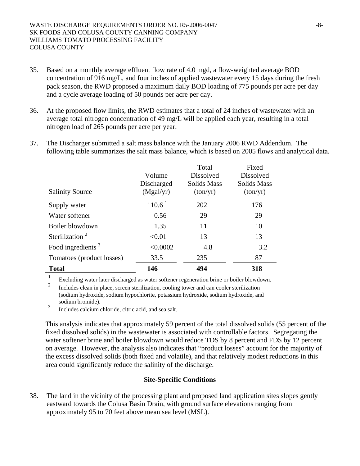- 35. Based on a monthly average effluent flow rate of 4.0 mgd, a flow-weighted average BOD concentration of 916 mg/L, and four inches of applied wastewater every 15 days during the fresh pack season, the RWD proposed a maximum daily BOD loading of 775 pounds per acre per day and a cycle average loading of 50 pounds per acre per day.
- 36. At the proposed flow limits, the RWD estimates that a total of 24 inches of wastewater with an average total nitrogen concentration of 49 mg/L will be applied each year, resulting in a total nitrogen load of 265 pounds per acre per year.
- 37. The Discharger submitted a salt mass balance with the January 2006 RWD Addendum. The following table summarizes the salt mass balance, which is based on 2005 flows and analytical data.

|                            |            | Total              | Fixed              |
|----------------------------|------------|--------------------|--------------------|
|                            | Volume     | <b>Dissolved</b>   | <b>Dissolved</b>   |
|                            | Discharged | <b>Solids Mass</b> | <b>Solids Mass</b> |
| <b>Salinity Source</b>     | (Mgal/yr)  | (ton/yr)           | (ton/yr)           |
| Supply water               | $110.6^1$  | 202                | 176                |
| Water softener             | 0.56       | 29                 | 29                 |
| Boiler blowdown            | 1.35       | 11                 | 10                 |
| Sterilization <sup>2</sup> | < 0.01     | 13                 | 13                 |
| Food ingredients $3$       | < 0.0002   | 4.8                | 3.2                |
| Tomatoes (product losses)  | 33.5       | 235                | 87                 |
| <b>Total</b>               | 146        | 494                | 318                |

1 Excluding water later discharged as water softener regeneration brine or boiler blowdown.

2 Includes clean in place, screen sterilization, cooling tower and can cooler sterilization (sodium hydroxide, sodium hypochlorite, potassium hydroxide, sodium hydroxide, and sodium bromide).

3 Includes calcium chloride, citric acid, and sea salt.

This analysis indicates that approximately 59 percent of the total dissolved solids (55 percent of the fixed dissolved solids) in the wastewater is associated with controllable factors. Segregating the water softener brine and boiler blowdown would reduce TDS by 8 percent and FDS by 12 percent on average. However, the analysis also indicates that "product losses" account for the majority of the excess dissolved solids (both fixed and volatile), and that relatively modest reductions in this area could significantly reduce the salinity of the discharge.

### **Site-Specific Conditions**

38. The land in the vicinity of the processing plant and proposed land application sites slopes gently eastward towards the Colusa Basin Drain, with ground surface elevations ranging from approximately 95 to 70 feet above mean sea level (MSL).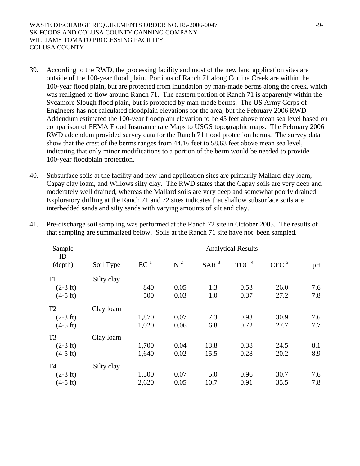- 39. According to the RWD, the processing facility and most of the new land application sites are outside of the 100-year flood plain. Portions of Ranch 71 along Cortina Creek are within the 100-year flood plain, but are protected from inundation by man-made berms along the creek, which was realigned to flow around Ranch 71. The eastern portion of Ranch 71 is apparently within the Sycamore Slough flood plain, but is protected by man-made berms. The US Army Corps of Engineers has not calculated floodplain elevations for the area, but the February 2006 RWD Addendum estimated the 100-year floodplain elevation to be 45 feet above mean sea level based on comparison of FEMA Flood Insurance rate Maps to USGS topographic maps. The February 2006 RWD addendum provided survey data for the Ranch 71 flood protection berms. The survey data show that the crest of the berms ranges from 44.16 feet to 58.63 feet above mean sea level, indicating that only minor modifications to a portion of the berm would be needed to provide 100-year floodplain protection.
- 40. Subsurface soils at the facility and new land application sites are primarily Mallard clay loam, Capay clay loam, and Willows silty clay. The RWD states that the Capay soils are very deep and moderately well drained, whereas the Mallard soils are very deep and somewhat poorly drained. Exploratory drilling at the Ranch 71 and 72 sites indicates that shallow subsurface soils are interbedded sands and silty sands with varying amounts of silt and clay.

| Sample             |            |                 |       |                  | <b>Analytical Results</b> |                  |     |
|--------------------|------------|-----------------|-------|------------------|---------------------------|------------------|-----|
| ID<br>(depth)      | Soil Type  | EC <sup>1</sup> | $N^2$ | SAR <sup>3</sup> | TOC <sup>4</sup>          | CEC <sup>5</sup> | pH  |
| T <sub>1</sub>     | Silty clay |                 |       |                  |                           |                  |     |
| $(2-3 \text{ ft})$ |            | 840             | 0.05  | 1.3              | 0.53                      | 26.0             | 7.6 |
| $(4-5 \text{ ft})$ |            | 500             | 0.03  | 1.0              | 0.37                      | 27.2             | 7.8 |
| T <sub>2</sub>     | Clay loam  |                 |       |                  |                           |                  |     |
| $(2-3 \text{ ft})$ |            | 1,870           | 0.07  | 7.3              | 0.93                      | 30.9             | 7.6 |
| $(4-5 \text{ ft})$ |            | 1,020           | 0.06  | 6.8              | 0.72                      | 27.7             | 7.7 |
| T <sub>3</sub>     | Clay loam  |                 |       |                  |                           |                  |     |
| $(2-3 ft)$         |            | 1,700           | 0.04  | 13.8             | 0.38                      | 24.5             | 8.1 |
| $(4-5 \text{ ft})$ |            | 1,640           | 0.02  | 15.5             | 0.28                      | 20.2             | 8.9 |
| T <sub>4</sub>     | Silty clay |                 |       |                  |                           |                  |     |
| $(2-3 \text{ ft})$ |            | 1,500           | 0.07  | 5.0              | 0.96                      | 30.7             | 7.6 |
| $(4-5 \text{ ft})$ |            | 2,620           | 0.05  | 10.7             | 0.91                      | 35.5             | 7.8 |

41. Pre-discharge soil sampling was performed at the Ranch 72 site in October 2005. The results of that sampling are summarized below. Soils at the Ranch 71 site have not been sampled.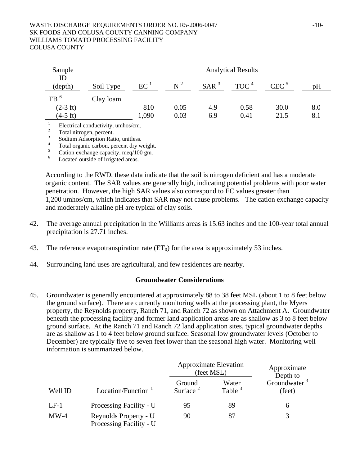#### WASTE DISCHARGE REQUIREMENTS ORDER NO. R5-2006-0047 -10-SK FOODS AND COLUSA COUNTY CANNING COMPANY WILLIAMS TOMATO PROCESSING FACILITY COLUSA COUNTY

| Sample             |                                          |                 |                |                  | <b>Analytical Results</b> |                  |     |
|--------------------|------------------------------------------|-----------------|----------------|------------------|---------------------------|------------------|-----|
| ID<br>(depth)      | Soil Type                                | EC <sup>1</sup> | $\mathbf{N}^2$ | SAR <sup>3</sup> | TOC <sup>4</sup>          | CEC <sup>5</sup> | рH  |
| TB <sup>6</sup>    | Clay loam                                |                 |                |                  |                           |                  |     |
| $(2-3 \text{ ft})$ |                                          | 810             | 0.05           | 4.9              | 0.58                      | 30.0             | 8.0 |
| $(4-5 \text{ ft})$ |                                          | 1,090           | 0.03           | 6.9              | 0.41                      | 21.5             | 8.1 |
|                    | $\Gamma$ laatiisal aandustiritu umboolam |                 |                |                  |                           |                  |     |

<sup>1</sup> Electrical conductivity, umhos/cm.

2 Total nitrogen, percent.

3 Sodium Adsorption Ratio, unitless.

4 Total organic carbon, percent dry weight. 5

Cation exchange capacity, meq/100 gm.

6 Located outside of irrigated areas.

According to the RWD, these data indicate that the soil is nitrogen deficient and has a moderate organic content. The SAR values are generally high, indicating potential problems with poor water penetration. However, the high SAR values also correspond to EC values greater than 1,200 umhos/cm, which indicates that SAR may not cause problems. The cation exchange capacity and moderately alkaline pH are typical of clay soils.

- 42. The average annual precipitation in the Williams areas is 15.63 inches and the 100-year total annual precipitation is 27.71 inches.
- 43. The reference evapotranspiration rate  $(ET_0)$  for the area is approximately 53 inches.
- 44. Surrounding land uses are agricultural, and few residences are nearby.

#### **Groundwater Considerations**

45. Groundwater is generally encountered at approximately 88 to 38 feet MSL (about 1 to 8 feet below the ground surface). There are currently monitoring wells at the processing plant, the Myers property, the Reynolds property, Ranch 71, and Ranch 72 as shown on Attachment A. Groundwater beneath the processing facility and former land application areas are as shallow as 3 to 8 feet below ground surface. At the Ranch 71 and Ranch 72 land application sites, typical groundwater depths are as shallow as 1 to 4 feet below ground surface. Seasonal low groundwater levels (October to December) are typically five to seven feet lower than the seasonal high water. Monitoring well information is summarized below.

|         |                                                  |                       | <b>Approximate Elevation</b><br>(feet MSL) | Approximate<br>Depth to            |
|---------|--------------------------------------------------|-----------------------|--------------------------------------------|------------------------------------|
| Well ID | Location/Function <sup>1</sup>                   | Ground<br>Surface $2$ | Water<br>Table $3$                         | Groundwater <sup>3</sup><br>(feet) |
| $LF-1$  | Processing Facility - U                          | 95                    | 89                                         |                                    |
| $MW-4$  | Reynolds Property - U<br>Processing Facility - U | 90                    | 87                                         |                                    |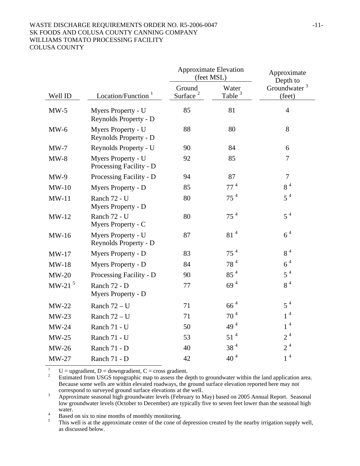# WASTE DISCHARGE REQUIREMENTS ORDER NO. R5-2006-0047 -11-SK FOODS AND COLUSA COUNTY CANNING COMPANY WILLIAMS TOMATO PROCESSING FACILITY

COLUSA COUNTY

|           |                                               | <b>Approximate Elevation</b><br>(feet MSL) |                             | Approximate<br>Depth to            |
|-----------|-----------------------------------------------|--------------------------------------------|-----------------------------|------------------------------------|
| Well ID   | Location/Function <sup>1</sup>                | Ground<br>Surface <sup>2</sup>             | Water<br>Table <sup>3</sup> | Groundwater <sup>3</sup><br>(feet) |
| $MW-5$    | Myers Property - U<br>Reynolds Property - D   | 85                                         | 81                          | $\overline{4}$                     |
| $MW-6$    | Myers Property - U<br>Reynolds Property - D   | 88                                         | 80                          | 8                                  |
| $MW-7$    | Reynolds Property - U                         | 90                                         | 84                          | 6                                  |
| $MW-8$    | Myers Property - U<br>Processing Facility - D | 92                                         | 85                          | $\overline{7}$                     |
| $MW-9$    | Processing Facility - D                       | 94                                         | 87                          | $\overline{7}$                     |
| $MW-10$   | Myers Property - D                            | 85                                         | 77 <sup>4</sup>             | $8\,$ $^4$                         |
| $MW-11$   | Ranch 72 - U<br>Myers Property - D            | 80                                         | 75 <sup>4</sup>             | $5^4$                              |
| $MW-12$   | Ranch 72 - U<br>Myers Property - C            | 80                                         | 75 <sup>4</sup>             | $5^4$                              |
| $MW-16$   | Myers Property - U<br>Reynolds Property - D   | 87                                         | 81 <sup>4</sup>             | 6 <sup>4</sup>                     |
| $MW-17$   | Myers Property - D                            | 83                                         | 75 <sup>4</sup>             | 8 <sup>4</sup>                     |
| $MW-18$   | Myers Property - D                            | 84                                         | 78 <sup>4</sup>             | 6 <sup>4</sup>                     |
| $MW-20$   | Processing Facility - D                       | 90                                         | 85 <sup>4</sup>             | $5^4$                              |
| MW-21 $5$ | Ranch 72 - D<br>Myers Property - D            | 77                                         | 69 <sup>4</sup>             | 8 <sup>4</sup>                     |
| $MW-22$   | Ranch $72 - U$                                | 71                                         | $664$                       | $5^4$                              |
| $MW-23$   | Ranch $72 - U$                                | 71                                         | $70^4$                      | $1^4\,$                            |
| $MW-24$   | Ranch 71 - U                                  | 50                                         | $49^4$                      | $1^4$                              |
| $MW-25$   | Ranch 71 - U                                  | 53                                         | 51 <sup>4</sup>             | 2 <sup>4</sup>                     |
| $MW-26$   | Ranch 71 - D                                  | 40                                         | 38 <sup>4</sup>             | 2 <sup>4</sup>                     |
| $MW-27$   | Ranch 71 - D                                  | 42                                         | 40 <sup>4</sup>             | 1 <sup>4</sup>                     |

1  $U =$  upgradient,  $D =$  downgradient,  $C =$  cross gradient.

2 Estimated from USGS topographic map to assess the depth to groundwater within the land application area. Because some wells are within elevated roadways, the ground surface elevation reported here may not correspond to surveyed ground surface elevations at the well.<br> $\frac{3}{2}$  Approximate seasonal bigh groundwater layels (February to N

 Approximate seasonal high groundwater levels (February to May) based on 2005 Annual Report. Seasonal low groundwater levels (October to December) are typically five to seven feet lower than the seasonal high water.

Based on six to nine months of monthly monitoring.

5 This well is at the approximate center of the cone of depression created by the nearby irrigation supply well, as discussed below.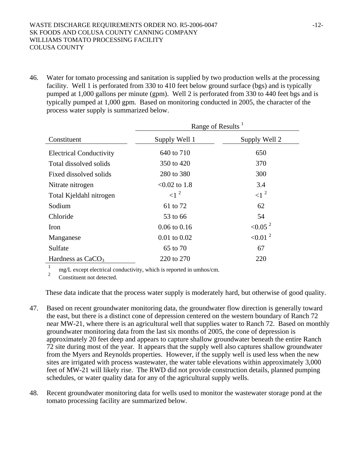46. Water for tomato processing and sanitation is supplied by two production wells at the processing facility. Well 1 is perforated from 330 to 410 feet below ground surface (bgs) and is typically pumped at 1,000 gallons per minute (gpm). Well 2 is perforated from 330 to 440 feet bgs and is typically pumped at 1,000 gpm. Based on monitoring conducted in 2005, the character of the process water supply is summarized below.

|                                | Range of Results <sup>1</sup> |                          |  |  |
|--------------------------------|-------------------------------|--------------------------|--|--|
| Constituent                    | Supply Well 1                 | Supply Well 2            |  |  |
| <b>Electrical Conductivity</b> | 640 to 710                    | 650                      |  |  |
| Total dissolved solids         | 350 to 420                    | 370                      |  |  |
| Fixed dissolved solids         | 280 to 380                    | 300                      |  |  |
| Nitrate nitrogen               | $< 0.02$ to 1.8               | 3.4                      |  |  |
| Total Kjeldahl nitrogen        | $\leq$ 1 <sup>2</sup>         | $\langle$ 1 <sup>2</sup> |  |  |
| Sodium                         | 61 to 72                      | 62                       |  |  |
| Chloride                       | 53 to 66                      | 54                       |  |  |
| Iron                           | $0.06 \text{ to } 0.16$       | < 0.05 <sup>2</sup>      |  |  |
| Manganese                      | $0.01$ to $0.02$              | $\leq 0.01$ <sup>2</sup> |  |  |
| Sulfate                        | 65 to 70                      | 67                       |  |  |
| Hardness as $CaCO3$            | 220 to 270                    | 220                      |  |  |

 $\overline{1}$ mg/L except electrical conductivity, which is reported in umhos/cm.

2 Constituent not detected.

These data indicate that the process water supply is moderately hard, but otherwise of good quality.

- 47. Based on recent groundwater monitoring data, the groundwater flow direction is generally toward the east, but there is a distinct cone of depression centered on the western boundary of Ranch 72 near MW-21, where there is an agricultural well that supplies water to Ranch 72. Based on monthly groundwater monitoring data from the last six months of 2005, the cone of depression is approximately 20 feet deep and appears to capture shallow groundwater beneath the entire Ranch 72 site during most of the year. It appears that the supply well also captures shallow groundwater from the Myers and Reynolds properties. However, if the supply well is used less when the new sites are irrigated with process wastewater, the water table elevations within approximately 3,000 feet of MW-21 will likely rise. The RWD did not provide construction details, planned pumping schedules, or water quality data for any of the agricultural supply wells.
- 48. Recent groundwater monitoring data for wells used to monitor the wastewater storage pond at the tomato processing facility are summarized below.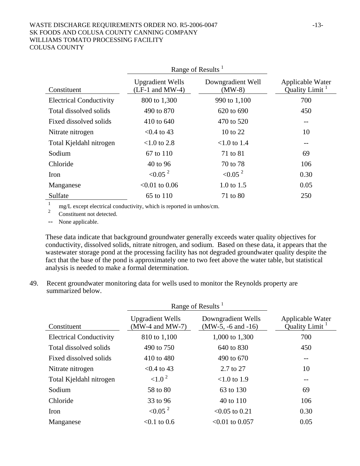#### WASTE DISCHARGE REQUIREMENTS ORDER NO. R5-2006-0047 -13-SK FOODS AND COLUSA COUNTY CANNING COMPANY WILLIAMS TOMATO PROCESSING FACILITY COLUSA COUNTY

|                                | Range of Results <sup>1</sup>                |                               |                                                |
|--------------------------------|----------------------------------------------|-------------------------------|------------------------------------------------|
| Constituent                    | <b>Upgradient Wells</b><br>$(LF-1$ and MW-4) | Downgradient Well<br>$(MW-8)$ | Applicable Water<br>Quality Limit <sup>1</sup> |
| <b>Electrical Conductivity</b> | 800 to 1,300                                 | 990 to 1,100                  | 700                                            |
| Total dissolved solids         | 490 to 870                                   | 620 to 690                    | 450                                            |
| Fixed dissolved solids         | 410 to 640                                   | 470 to 520                    |                                                |
| Nitrate nitrogen               | $< 0.4$ to 43                                | 10 to 22                      | 10                                             |
| Total Kjeldahl nitrogen        | $< 1.0$ to 2.8                               | $< 1.0$ to 1.4                | $- -$                                          |
| Sodium                         | 67 to 110                                    | 71 to 81                      | 69                                             |
| Chloride                       | 40 to 96                                     | 70 to 78                      | 106                                            |
| Iron                           | < 0.05 <sup>2</sup>                          | < 0.05 <sup>2</sup>           | 0.30                                           |
| Manganese                      | $< 0.01$ to 0.06                             | 1.0 to $1.5$                  | 0.05                                           |
| Sulfate                        | 65 to 110                                    | 71 to 80                      | 250                                            |

1 mg/L except electrical conductivity, which is reported in umhos/cm.

2 Constituent not detected.

-- None applicable.

These data indicate that background groundwater generally exceeds water quality objectives for conductivity, dissolved solids, nitrate nitrogen, and sodium. Based on these data, it appears that the wastewater storage pond at the processing facility has not degraded groundwater quality despite the fact that the base of the pond is approximately one to two feet above the water table, but statistical analysis is needed to make a formal determination.

49. Recent groundwater monitoring data for wells used to monitor the Reynolds property are summarized below.

|                                | Range of Results <sup>1</sup>                  |                                              |                                                       |
|--------------------------------|------------------------------------------------|----------------------------------------------|-------------------------------------------------------|
| Constituent                    | <b>Upgradient Wells</b><br>$(MW-4$ and $MW-7)$ | Downgradient Wells<br>$(MW-5, -6$ and $-16)$ | <b>Applicable Water</b><br>Quality Limit <sup>1</sup> |
| <b>Electrical Conductivity</b> | 810 to 1,100                                   | 1,000 to 1,300                               | 700                                                   |
| Total dissolved solids         | 490 to 750                                     | 640 to 830                                   | 450                                                   |
| Fixed dissolved solids         | 410 to 480                                     | 490 to 670                                   | $- -$                                                 |
| Nitrate nitrogen               | $< 0.4$ to 43                                  | $2.7 \text{ to } 27$                         | 10                                                    |
| Total Kjeldahl nitrogen        | ${<}1.0^{2}$                                   | $< 1.0$ to 1.9                               | $\qquad \qquad -$                                     |
| Sodium                         | 58 to 80                                       | 63 to 130                                    | 69                                                    |
| Chloride                       | 33 to 96                                       | 40 to 110                                    | 106                                                   |
| Iron                           | < 0.05 <sup>2</sup>                            | $< 0.05$ to 0.21                             | 0.30                                                  |
| Manganese                      | $< 0.1$ to 0.6                                 | $<0.01$ to 0.057                             | 0.05                                                  |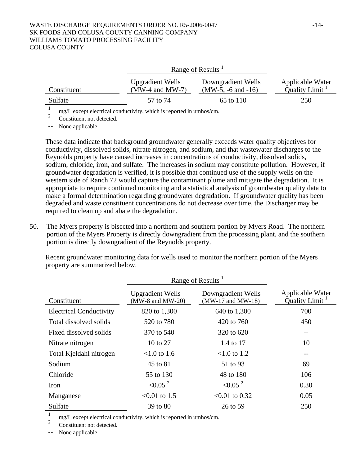#### WASTE DISCHARGE REQUIREMENTS ORDER NO. R5-2006-0047 -14-SK FOODS AND COLUSA COUNTY CANNING COMPANY WILLIAMS TOMATO PROCESSING FACILITY COLUSA COUNTY

|             |                                                                                                                                 | Range of Results <sup>1</sup>                |                                       |  |  |
|-------------|---------------------------------------------------------------------------------------------------------------------------------|----------------------------------------------|---------------------------------------|--|--|
| Constituent | <b>Upgradient Wells</b><br>$(MW-4$ and $MW-7)$                                                                                  | Downgradient Wells<br>$(MW-5, -6$ and $-16)$ | Applicable Water<br>Quality Limit $1$ |  |  |
| Sulfate     | 57 to 74                                                                                                                        | 65 to 110                                    | 250                                   |  |  |
|             | $\mathcal{L}_1$ , and a set of state of a set of state $\mathcal{L}_2$ , and $\mathcal{L}_3$ , the set of the set of set of set |                                              |                                       |  |  |

mg/L except electrical conductivity, which is reported in umhos/cm.

2 Constituent not detected.

-- None applicable.

These data indicate that background groundwater generally exceeds water quality objectives for conductivity, dissolved solids, nitrate nitrogen, and sodium, and that wastewater discharges to the Reynolds property have caused increases in concentrations of conductivity, dissolved solids, sodium, chloride, iron, and sulfate. The increases in sodium may constitute pollution. However, if groundwater degradation is verified, it is possible that continued use of the supply wells on the western side of Ranch 72 would capture the contaminant plume and mitigate the degradation. It is appropriate to require continued monitoring and a statistical analysis of groundwater quality data to make a formal determination regarding groundwater degradation. If groundwater quality has been degraded and waste constituent concentrations do not decrease over time, the Discharger may be required to clean up and abate the degradation.

50. The Myers property is bisected into a northern and southern portion by Myers Road. The northern portion of the Myers Property is directly downgradient from the processing plant, and the southern portion is directly downgradient of the Reynolds property.

Recent groundwater monitoring data for wells used to monitor the northern portion of the Myers property are summarized below.

|                                | Range of Results                                |                                             |                                   |
|--------------------------------|-------------------------------------------------|---------------------------------------------|-----------------------------------|
| Constituent                    | <b>Upgradient Wells</b><br>$(MW-8$ and $MW-20)$ | Downgradient Wells<br>$(MW-17$ and $MW-18)$ | Applicable Water<br>Quality Limit |
| <b>Electrical Conductivity</b> | 820 to 1,300                                    | 640 to 1,300                                | 700                               |
| Total dissolved solids         | 520 to 780                                      | 420 to 760                                  | 450                               |
| Fixed dissolved solids         | 370 to 540                                      | 320 to 620                                  | $\qquad \qquad -$                 |
| Nitrate nitrogen               | 10 to 27                                        | 1.4 to 17                                   | 10                                |
| Total Kjeldahl nitrogen        | $< 1.0$ to 1.6                                  | $< 1.0$ to 1.2                              | $- -$                             |
| Sodium                         | 45 to 81                                        | 51 to 93                                    | 69                                |
| Chloride                       | 55 to 130                                       | 48 to 180                                   | 106                               |
| Iron                           | < 0.05 <sup>2</sup>                             | < 0.05 <sup>2</sup>                         | 0.30                              |
| Manganese                      | $<0.01$ to 1.5                                  | $< 0.01$ to 0.32                            | 0.05                              |
| Sulfate                        | 39 to 80                                        | 26 to 59                                    | 250                               |

1 mg/L except electrical conductivity, which is reported in umhos/cm.

2 Constituent not detected.

-- None applicable.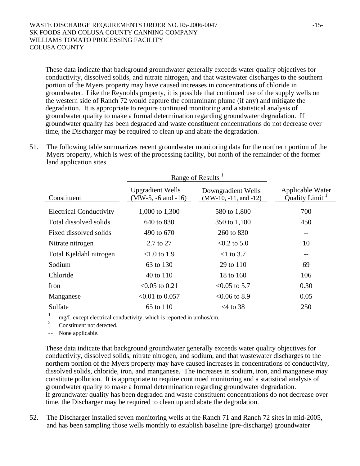These data indicate that background groundwater generally exceeds water quality objectives for conductivity, dissolved solids, and nitrate nitrogen, and that wastewater discharges to the southern portion of the Myers property may have caused increases in concentrations of chloride in groundwater. Like the Reynolds property, it is possible that continued use of the supply wells on the western side of Ranch 72 would capture the contaminant plume (if any) and mitigate the degradation. It is appropriate to require continued monitoring and a statistical analysis of groundwater quality to make a formal determination regarding groundwater degradation. If groundwater quality has been degraded and waste constituent concentrations do not decrease over time, the Discharger may be required to clean up and abate the degradation.

51. The following table summarizes recent groundwater monitoring data for the northern portion of the Myers property, which is west of the processing facility, but north of the remainder of the former land application sites.

|                                | Range of Results <sup>1</sup>                     |                                               |                                                |
|--------------------------------|---------------------------------------------------|-----------------------------------------------|------------------------------------------------|
| Constituent                    | <b>Upgradient Wells</b><br>$(MW-5, -6$ and $-16)$ | Downgradient Wells<br>$(MW-10, -11, and -12)$ | Applicable Water<br>Quality Limit <sup>1</sup> |
| <b>Electrical Conductivity</b> | 1,000 to 1,300                                    | 580 to 1,800                                  | 700                                            |
| Total dissolved solids         | 640 to 830                                        | 350 to 1,100                                  | 450                                            |
| Fixed dissolved solids         | 490 to 670                                        | 260 to 830                                    | --                                             |
| Nitrate nitrogen               | 2.7 to 27                                         | $< 0.2$ to 5.0                                | 10                                             |
| Total Kjeldahl nitrogen        | $< 1.0$ to 1.9                                    | $<$ 1 to 3.7                                  | --                                             |
| Sodium                         | 63 to 130                                         | 29 to 110                                     | 69                                             |
| Chloride                       | 40 to 110                                         | 18 to 160                                     | 106                                            |
| <b>Iron</b>                    | $< 0.05$ to 0.21                                  | $< 0.05$ to 5.7                               | 0.30                                           |
| Manganese                      | $<0.01$ to 0.057                                  | $<0.06$ to 8.9                                | 0.05                                           |
| Sulfate                        | 65 to 110                                         | $<$ 4 to 38                                   | 250                                            |

1 mg/L except electrical conductivity, which is reported in umhos/cm.

2 Constituent not detected.

-- None applicable.

These data indicate that background groundwater generally exceeds water quality objectives for conductivity, dissolved solids, nitrate nitrogen, and sodium, and that wastewater discharges to the northern portion of the Myers property may have caused increases in concentrations of conductivity, dissolved solids, chloride, iron, and manganese. The increases in sodium, iron, and manganese may constitute pollution. It is appropriate to require continued monitoring and a statistical analysis of groundwater quality to make a formal determination regarding groundwater degradation. If groundwater quality has been degraded and waste constituent concentrations do not decrease over time, the Discharger may be required to clean up and abate the degradation.

52. The Discharger installed seven monitoring wells at the Ranch 71 and Ranch 72 sites in mid-2005, and has been sampling those wells monthly to establish baseline (pre-discharge) groundwater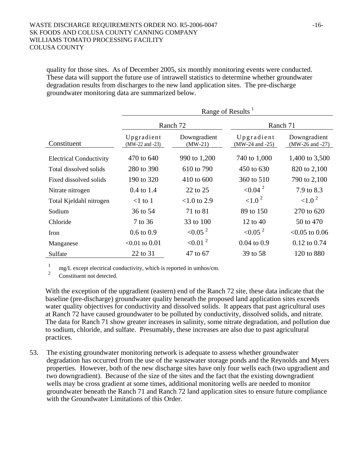#### WASTE DISCHARGE REQUIREMENTS ORDER NO. R5-2006-0047 -16-SK FOODS AND COLUSA COUNTY CANNING COMPANY WILLIAMS TOMATO PROCESSING FACILITY COLUSA COUNTY

quality for those sites. As of December 2005, six monthly monitoring events were conducted. These data will support the future use of intrawell statistics to determine whether groundwater degradation results from discharges to the new land application sites. The pre-discharge groundwater monitoring data are summarized below.

|                                | Range of Results <sup>1</sup>     |                           |                                   |                                     |  |
|--------------------------------|-----------------------------------|---------------------------|-----------------------------------|-------------------------------------|--|
|                                |                                   | Ranch 72                  | Ranch 71                          |                                     |  |
| Constituent                    | Upgradient<br>$(MW-22$ and $-23)$ | Downgradient<br>$(MW-21)$ | Upgradient<br>$(MW-24$ and $-25)$ | Downgradient<br>$(MW-26$ and $-27)$ |  |
| <b>Electrical Conductivity</b> | 470 to 640                        | 990 to 1,200              | 740 to 1,000                      | 1,400 to 3,500                      |  |
| Total dissolved solids         | 280 to 390                        | 610 to 790                | 450 to 630                        | 820 to 2,100                        |  |
| Fixed dissolved solids         | 190 to 320                        | 410 to 600                | 360 to 510                        | 790 to 2,100                        |  |
| Nitrate nitrogen               | $0.4$ to 1.4                      | 22 to 25                  | $< 0.04$ <sup>2</sup>             | 7.9 to 8.3                          |  |
| Total Kjeldahl nitrogen        | $<$ 1 to 1                        | $< 1.0$ to 2.9            | ${<}1.0^2$                        | ${<}1.0^2$                          |  |
| Sodium                         | 36 to 54                          | 71 to 81                  | 89 to 150                         | 270 to 620                          |  |
| Chloride                       | 7 to 36                           | 33 to 100                 | 12 to 40                          | 50 to 470                           |  |
| Iron                           | $0.6 \text{ to } 0.9$             | < 0.05 <sup>2</sup>       | < 0.05 <sup>2</sup>               | $< 0.05$ to 0.06                    |  |
| Manganese                      | $<0.01$ to $0.01$                 | $\leq 0.01$ <sup>2</sup>  | $0.04$ to $0.9$                   | $0.12$ to $0.74$                    |  |
| Sulfate                        | 22 to 31                          | 47 to 67                  | 39 to 58                          | 120 to 880                          |  |

1 mg/L except electrical conductivity, which is reported in umhos/cm.

2 Constituent not detected.

With the exception of the upgradient (eastern) end of the Ranch 72 site, these data indicate that the baseline (pre-discharge) groundwater quality beneath the proposed land application sites exceeds water quality objectives for conductivity and dissolved solids. It appears that past agricultural uses at Ranch 72 have caused groundwater to be polluted by conductivity, dissolved solids, and nitrate. The data for Ranch 71 show greater increases in salinity, some nitrate degradation, and pollution due to sodium, chloride, and sulfate. Presumably, these increases are also due to past agricultural practices.

53. The existing groundwater monitoring network is adequate to assess whether groundwater degradation has occurred from the use of the wastewater storage ponds and the Reynolds and Myers properties. However, both of the new discharge sites have only four wells each (two upgradient and two downgradient). Because of the size of the sites and the fact that the existing downgradient wells may be cross gradient at some times, additional monitoring wells are needed to monitor groundwater beneath the Ranch 71 and Ranch 72 land application sites to ensure future compliance with the Groundwater Limitations of this Order.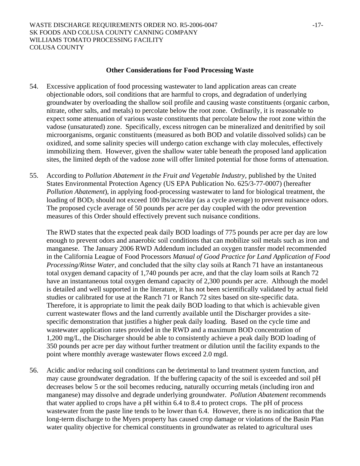### **Other Considerations for Food Processing Waste**

- 54. Excessive application of food processing wastewater to land application areas can create objectionable odors, soil conditions that are harmful to crops, and degradation of underlying groundwater by overloading the shallow soil profile and causing waste constituents (organic carbon, nitrate, other salts, and metals) to percolate below the root zone. Ordinarily, it is reasonable to expect some attenuation of various waste constituents that percolate below the root zone within the vadose (unsaturated) zone. Specifically, excess nitrogen can be mineralized and denitrified by soil microorganisms, organic constituents (measured as both BOD and volatile dissolved solids) can be oxidized, and some salinity species will undergo cation exchange with clay molecules, effectively immobilizing them. However, given the shallow water table beneath the proposed land application sites, the limited depth of the vadose zone will offer limited potential for those forms of attenuation.
- 55. According to *Pollution Abatement in the Fruit and Vegetable Industry*, published by the United States Environmental Protection Agency (US EPA Publication No. 625/3-77-0007) (hereafter *Pollution Abatement*), in applying food-processing wastewater to land for biological treatment, the loading of BOD<sub>5</sub> should not exceed 100 lbs/acre/day (as a cycle average) to prevent nuisance odors. The proposed cycle average of 50 pounds per acre per day coupled with the odor prevention measures of this Order should effectively prevent such nuisance conditions.

The RWD states that the expected peak daily BOD loadings of 775 pounds per acre per day are low enough to prevent odors and anaerobic soil conditions that can mobilize soil metals such as iron and manganese. The January 2006 RWD Addendum included an oxygen transfer model recommended in the California League of Food Processors *Manual of Good Practice for Land Application of Food Processing/Rinse Water*, and concluded that the silty clay soils at Ranch 71 have an instantaneous total oxygen demand capacity of 1,740 pounds per acre, and that the clay loam soils at Ranch 72 have an instantaneous total oxygen demand capacity of 2,300 pounds per acre. Although the model is detailed and well supported in the literature, it has not been scientifically validated by actual field studies or calibrated for use at the Ranch 71 or Ranch 72 sites based on site-specific data. Therefore, it is appropriate to limit the peak daily BOD loading to that which is achievable given current wastewater flows and the land currently available until the Discharger provides a sitespecific demonstration that justifies a higher peak daily loading. Based on the cycle time and wastewater application rates provided in the RWD and a maximum BOD concentration of 1,200 mg/L, the Discharger should be able to consistently achieve a peak daily BOD loading of 350 pounds per acre per day without further treatment or dilution until the facility expands to the point where monthly average wastewater flows exceed 2.0 mgd.

56. Acidic and/or reducing soil conditions can be detrimental to land treatment system function, and may cause groundwater degradation. If the buffering capacity of the soil is exceeded and soil pH decreases below 5 or the soil becomes reducing, naturally occurring metals (including iron and manganese) may dissolve and degrade underlying groundwater. *Pollution Abatement* recommends that water applied to crops have a pH within 6.4 to 8.4 to protect crops. The pH of process wastewater from the paste line tends to be lower than 6.4. However, there is no indication that the long-term discharge to the Myers property has caused crop damage or violations of the Basin Plan water quality objective for chemical constituents in groundwater as related to agricultural uses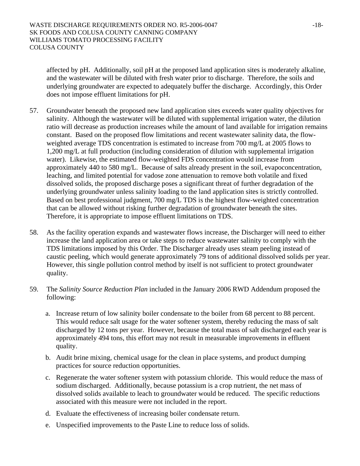affected by pH. Additionally, soil pH at the proposed land application sites is moderately alkaline, and the wastewater will be diluted with fresh water prior to discharge. Therefore, the soils and underlying groundwater are expected to adequately buffer the discharge. Accordingly, this Order does not impose effluent limitations for pH.

- 57. Groundwater beneath the proposed new land application sites exceeds water quality objectives for salinity. Although the wastewater will be diluted with supplemental irrigation water, the dilution ratio will decrease as production increases while the amount of land available for irrigation remains constant. Based on the proposed flow limitations and recent wastewater salinity data, the flowweighted average TDS concentration is estimated to increase from 700 mg/L at 2005 flows to 1,200 mg/L at full production (including consideration of dilution with supplemental irrigation water). Likewise, the estimated flow-weighted FDS concentration would increase from approximately 440 to 580 mg/L. Because of salts already present in the soil, evapoconcentration, leaching, and limited potential for vadose zone attenuation to remove both volatile and fixed dissolved solids, the proposed discharge poses a significant threat of further degradation of the underlying groundwater unless salinity loading to the land application sites is strictly controlled. Based on best professional judgment, 700 mg/L TDS is the highest flow-weighted concentration that can be allowed without risking further degradation of groundwater beneath the sites. Therefore, it is appropriate to impose effluent limitations on TDS.
- 58. As the facility operation expands and wastewater flows increase, the Discharger will need to either increase the land application area or take steps to reduce wastewater salinity to comply with the TDS limitations imposed by this Order. The Discharger already uses steam peeling instead of caustic peeling, which would generate approximately 79 tons of additional dissolved solids per year. However, this single pollution control method by itself is not sufficient to protect groundwater quality.
- 59. The *Salinity Source Reduction Plan* included in the January 2006 RWD Addendum proposed the following:
	- a. Increase return of low salinity boiler condensate to the boiler from 68 percent to 88 percent. This would reduce salt usage for the water softener system, thereby reducing the mass of salt discharged by 12 tons per year. However, because the total mass of salt discharged each year is approximately 494 tons, this effort may not result in measurable improvements in effluent quality.
	- b. Audit brine mixing, chemical usage for the clean in place systems, and product dumping practices for source reduction opportunities.
	- c. Regenerate the water softener system with potassium chloride. This would reduce the mass of sodium discharged. Additionally, because potassium is a crop nutrient, the net mass of dissolved solids available to leach to groundwater would be reduced. The specific reductions associated with this measure were not included in the report.
	- d. Evaluate the effectiveness of increasing boiler condensate return.
	- e. Unspecified improvements to the Paste Line to reduce loss of solids.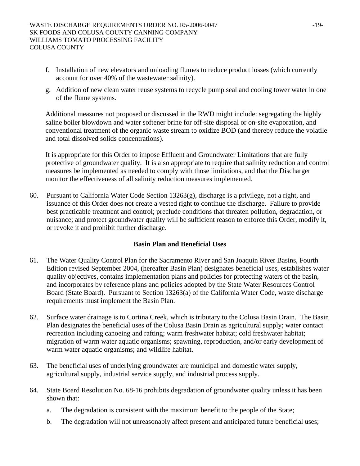- f. Installation of new elevators and unloading flumes to reduce product losses (which currently account for over 40% of the wastewater salinity).
- g. Addition of new clean water reuse systems to recycle pump seal and cooling tower water in one of the flume systems.

Additional measures not proposed or discussed in the RWD might include: segregating the highly saline boiler blowdown and water softener brine for off-site disposal or on-site evaporation, and conventional treatment of the organic waste stream to oxidize BOD (and thereby reduce the volatile and total dissolved solids concentrations).

It is appropriate for this Order to impose Effluent and Groundwater Limitations that are fully protective of groundwater quality. It is also appropriate to require that salinity reduction and control measures be implemented as needed to comply with those limitations, and that the Discharger monitor the effectiveness of all salinity reduction measures implemented.

60. Pursuant to California Water Code Section 13263(g), discharge is a privilege, not a right, and issuance of this Order does not create a vested right to continue the discharge. Failure to provide best practicable treatment and control; preclude conditions that threaten pollution, degradation, or nuisance; and protect groundwater quality will be sufficient reason to enforce this Order, modify it, or revoke it and prohibit further discharge.

## **Basin Plan and Beneficial Uses**

- 61. The Water Quality Control Plan for the Sacramento River and San Joaquin River Basins, Fourth Edition revised September 2004, (hereafter Basin Plan) designates beneficial uses, establishes water quality objectives, contains implementation plans and policies for protecting waters of the basin, and incorporates by reference plans and policies adopted by the State Water Resources Control Board (State Board). Pursuant to Section 13263(a) of the California Water Code, waste discharge requirements must implement the Basin Plan.
- 62. Surface water drainage is to Cortina Creek, which is tributary to the Colusa Basin Drain. The Basin Plan designates the beneficial uses of the Colusa Basin Drain as agricultural supply; water contact recreation including canoeing and rafting; warm freshwater habitat; cold freshwater habitat; migration of warm water aquatic organisms; spawning, reproduction, and/or early development of warm water aquatic organisms; and wildlife habitat.
- 63. The beneficial uses of underlying groundwater are municipal and domestic water supply, agricultural supply, industrial service supply, and industrial process supply.
- 64. State Board Resolution No. 68-16 prohibits degradation of groundwater quality unless it has been shown that:
	- a. The degradation is consistent with the maximum benefit to the people of the State;
	- b. The degradation will not unreasonably affect present and anticipated future beneficial uses;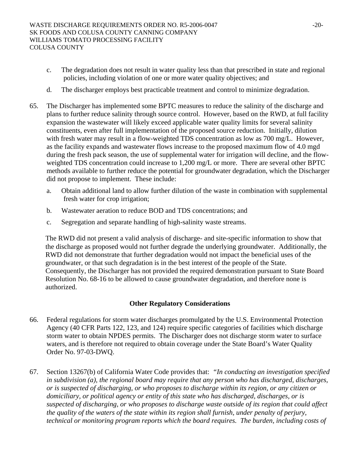- c. The degradation does not result in water quality less than that prescribed in state and regional policies, including violation of one or more water quality objectives; and
- d. The discharger employs best practicable treatment and control to minimize degradation.
- 65. The Discharger has implemented some BPTC measures to reduce the salinity of the discharge and plans to further reduce salinity through source control. However, based on the RWD, at full facility expansion the wastewater will likely exceed applicable water quality limits for several salinity constituents, even after full implementation of the proposed source reduction. Initially, dilution with fresh water may result in a flow-weighted TDS concentration as low as 700 mg/L. However, as the facility expands and wastewater flows increase to the proposed maximum flow of 4.0 mgd during the fresh pack season, the use of supplemental water for irrigation will decline, and the flowweighted TDS concentration could increase to 1,200 mg/L or more. There are several other BPTC methods available to further reduce the potential for groundwater degradation, which the Discharger did not propose to implement. These include:
	- a. Obtain additional land to allow further dilution of the waste in combination with supplemental fresh water for crop irrigation;
	- b. Wastewater aeration to reduce BOD and TDS concentrations; and
	- c. Segregation and separate handling of high-salinity waste streams.

The RWD did not present a valid analysis of discharge- and site-specific information to show that the discharge as proposed would not further degrade the underlying groundwater. Additionally, the RWD did not demonstrate that further degradation would not impact the beneficial uses of the groundwater, or that such degradation is in the best interest of the people of the State. Consequently, the Discharger has not provided the required demonstration pursuant to State Board Resolution No. 68-16 to be allowed to cause groundwater degradation, and therefore none is authorized.

### **Other Regulatory Considerations**

- 66. Federal regulations for storm water discharges promulgated by the U.S. Environmental Protection Agency (40 CFR Parts 122, 123, and 124) require specific categories of facilities which discharge storm water to obtain NPDES permits. The Discharger does not discharge storm water to surface waters, and is therefore not required to obtain coverage under the State Board's Water Quality Order No. 97-03-DWQ.
- 67. Section 13267(b) of California Water Code provides that: *"In conducting an investigation specified in subdivision (a), the regional board may require that any person who has discharged, discharges, or is suspected of discharging, or who proposes to discharge within its region, or any citizen or domiciliary, or political agency or entity of this state who has discharged, discharges, or is suspected of discharging, or who proposes to discharge waste outside of its region that could affect the quality of the waters of the state within its region shall furnish, under penalty of perjury, technical or monitoring program reports which the board requires. The burden, including costs of*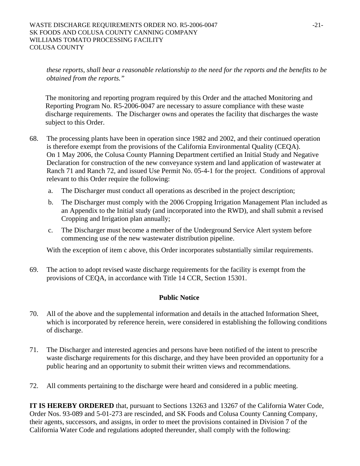*these reports, shall bear a reasonable relationship to the need for the reports and the benefits to be obtained from the reports."*

The monitoring and reporting program required by this Order and the attached Monitoring and Reporting Program No. R5-2006-0047 are necessary to assure compliance with these waste discharge requirements. The Discharger owns and operates the facility that discharges the waste subject to this Order.

- 68. The processing plants have been in operation since 1982 and 2002, and their continued operation is therefore exempt from the provisions of the California Environmental Quality (CEQA). On 1 May 2006, the Colusa County Planning Department certified an Initial Study and Negative Declaration for construction of the new conveyance system and land application of wastewater at Ranch 71 and Ranch 72, and issued Use Permit No. 05-4-1 for the project. Conditions of approval relevant to this Order require the following:
	- a. The Discharger must conduct all operations as described in the project description;
	- b. The Discharger must comply with the 2006 Cropping Irrigation Management Plan included as an Appendix to the Initial study (and incorporated into the RWD), and shall submit a revised Cropping and Irrigation plan annually;
	- c. The Discharger must become a member of the Underground Service Alert system before commencing use of the new wastewater distribution pipeline.

With the exception of item c above, this Order incorporates substantially similar requirements.

69. The action to adopt revised waste discharge requirements for the facility is exempt from the provisions of CEQA, in accordance with Title 14 CCR, Section 15301.

### **Public Notice**

- 70. All of the above and the supplemental information and details in the attached Information Sheet, which is incorporated by reference herein, were considered in establishing the following conditions of discharge.
- 71. The Discharger and interested agencies and persons have been notified of the intent to prescribe waste discharge requirements for this discharge, and they have been provided an opportunity for a public hearing and an opportunity to submit their written views and recommendations.
- 72. All comments pertaining to the discharge were heard and considered in a public meeting.

**IT IS HEREBY ORDERED** that, pursuant to Sections 13263 and 13267 of the California Water Code, Order Nos. 93-089 and 5-01-273 are rescinded, and SK Foods and Colusa County Canning Company, their agents, successors, and assigns, in order to meet the provisions contained in Division 7 of the California Water Code and regulations adopted thereunder, shall comply with the following: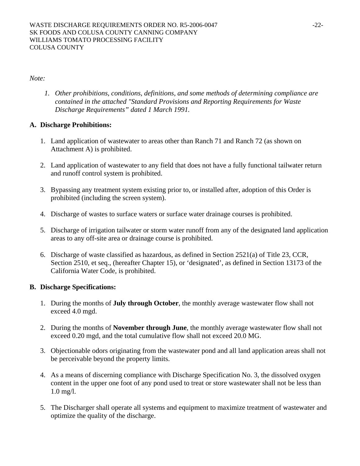*Note:* 

*1. Other prohibitions, conditions, definitions, and some methods of determining compliance are contained in the attached "Standard Provisions and Reporting Requirements for Waste Discharge Requirements" dated 1 March 1991.* 

# **A. Discharge Prohibitions:**

- 1. Land application of wastewater to areas other than Ranch 71 and Ranch 72 (as shown on Attachment A) is prohibited.
- 2. Land application of wastewater to any field that does not have a fully functional tailwater return and runoff control system is prohibited.
- 3. Bypassing any treatment system existing prior to, or installed after, adoption of this Order is prohibited (including the screen system).
- 4. Discharge of wastes to surface waters or surface water drainage courses is prohibited.
- 5. Discharge of irrigation tailwater or storm water runoff from any of the designated land application areas to any off-site area or drainage course is prohibited.
- 6. Discharge of waste classified as hazardous, as defined in Section 2521(a) of Title 23, CCR, Section 2510, et seq., (hereafter Chapter 15), or 'designated', as defined in Section 13173 of the California Water Code, is prohibited.

# **B. Discharge Specifications:**

- 1. During the months of **July through October**, the monthly average wastewater flow shall not exceed 4.0 mgd.
- 2. During the months of **November through June**, the monthly average wastewater flow shall not exceed 0.20 mgd, and the total cumulative flow shall not exceed 20.0 MG.
- 3. Objectionable odors originating from the wastewater pond and all land application areas shall not be perceivable beyond the property limits.
- 4. As a means of discerning compliance with Discharge Specification No. 3, the dissolved oxygen content in the upper one foot of any pond used to treat or store wastewater shall not be less than 1.0 mg/l.
- 5. The Discharger shall operate all systems and equipment to maximize treatment of wastewater and optimize the quality of the discharge.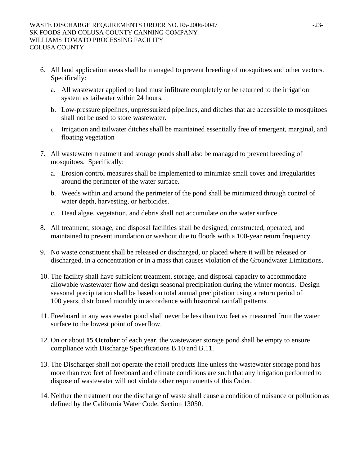- 6. All land application areas shall be managed to prevent breeding of mosquitoes and other vectors. Specifically:
	- a. All wastewater applied to land must infiltrate completely or be returned to the irrigation system as tailwater within 24 hours.
	- b. Low-pressure pipelines, unpressurized pipelines, and ditches that are accessible to mosquitoes shall not be used to store wastewater.
	- c. Irrigation and tailwater ditches shall be maintained essentially free of emergent, marginal, and floating vegetation
- 7. All wastewater treatment and storage ponds shall also be managed to prevent breeding of mosquitoes. Specifically:
	- a. Erosion control measures shall be implemented to minimize small coves and irregularities around the perimeter of the water surface.
	- b. Weeds within and around the perimeter of the pond shall be minimized through control of water depth, harvesting, or herbicides.
	- c. Dead algae, vegetation, and debris shall not accumulate on the water surface.
- 8. All treatment, storage, and disposal facilities shall be designed, constructed, operated, and maintained to prevent inundation or washout due to floods with a 100-year return frequency.
- 9. No waste constituent shall be released or discharged, or placed where it will be released or discharged, in a concentration or in a mass that causes violation of the Groundwater Limitations.
- 10. The facility shall have sufficient treatment, storage, and disposal capacity to accommodate allowable wastewater flow and design seasonal precipitation during the winter months. Design seasonal precipitation shall be based on total annual precipitation using a return period of 100 years, distributed monthly in accordance with historical rainfall patterns.
- 11. Freeboard in any wastewater pond shall never be less than two feet as measured from the water surface to the lowest point of overflow.
- 12. On or about **15 October** of each year, the wastewater storage pond shall be empty to ensure compliance with Discharge Specifications B.10 and B.11.
- 13. The Discharger shall not operate the retail products line unless the wastewater storage pond has more than two feet of freeboard and climate conditions are such that any irrigation performed to dispose of wastewater will not violate other requirements of this Order.
- 14. Neither the treatment nor the discharge of waste shall cause a condition of nuisance or pollution as defined by the California Water Code, Section 13050.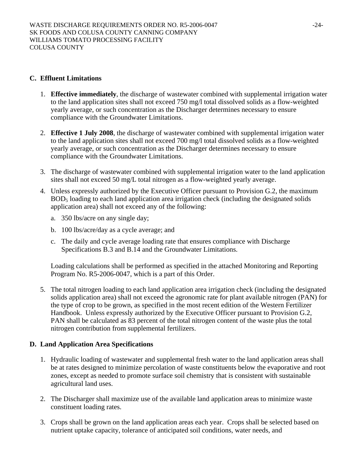### **C. Effluent Limitations**

- 1. **Effective immediately**, the discharge of wastewater combined with supplemental irrigation water to the land application sites shall not exceed 750 mg/l total dissolved solids as a flow-weighted yearly average, or such concentration as the Discharger determines necessary to ensure compliance with the Groundwater Limitations.
- 2. **Effective 1 July 2008**, the discharge of wastewater combined with supplemental irrigation water to the land application sites shall not exceed 700 mg/l total dissolved solids as a flow-weighted yearly average, or such concentration as the Discharger determines necessary to ensure compliance with the Groundwater Limitations.
- 3. The discharge of wastewater combined with supplemental irrigation water to the land application sites shall not exceed 50 mg/L total nitrogen as a flow-weighted yearly average.
- 4. Unless expressly authorized by the Executive Officer pursuant to Provision G.2, the maximum BOD5 loading to each land application area irrigation check (including the designated solids application area) shall not exceed any of the following:
	- a. 350 lbs/acre on any single day;
	- b. 100 lbs/acre/day as a cycle average; and
	- c. The daily and cycle average loading rate that ensures compliance with Discharge Specifications B.3 and B.14 and the Groundwater Limitations.

Loading calculations shall be performed as specified in the attached Monitoring and Reporting Program No. R5-2006-0047, which is a part of this Order.

5. The total nitrogen loading to each land application area irrigation check (including the designated solids application area) shall not exceed the agronomic rate for plant available nitrogen (PAN) for the type of crop to be grown, as specified in the most recent edition of the Western Fertilizer Handbook. Unless expressly authorized by the Executive Officer pursuant to Provision G.2, PAN shall be calculated as 83 percent of the total nitrogen content of the waste plus the total nitrogen contribution from supplemental fertilizers.

## **D. Land Application Area Specifications**

- 1. Hydraulic loading of wastewater and supplemental fresh water to the land application areas shall be at rates designed to minimize percolation of waste constituents below the evaporative and root zones, except as needed to promote surface soil chemistry that is consistent with sustainable agricultural land uses.
- 2. The Discharger shall maximize use of the available land application areas to minimize waste constituent loading rates.
- 3. Crops shall be grown on the land application areas each year. Crops shall be selected based on nutrient uptake capacity, tolerance of anticipated soil conditions, water needs, and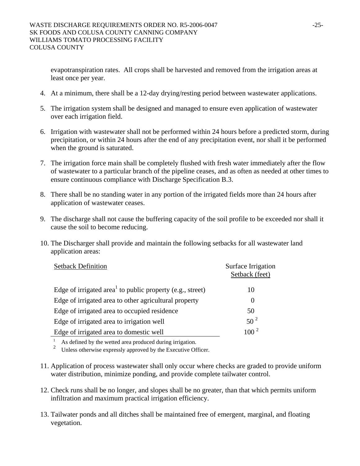evapotranspiration rates. All crops shall be harvested and removed from the irrigation areas at least once per year.

- 4. At a minimum, there shall be a 12-day drying/resting period between wastewater applications.
- 5. The irrigation system shall be designed and managed to ensure even application of wastewater over each irrigation field.
- 6. Irrigation with wastewater shall not be performed within 24 hours before a predicted storm, during precipitation, or within 24 hours after the end of any precipitation event, nor shall it be performed when the ground is saturated.
- 7. The irrigation force main shall be completely flushed with fresh water immediately after the flow of wastewater to a particular branch of the pipeline ceases, and as often as needed at other times to ensure continuous compliance with Discharge Specification B.3.
- 8. There shall be no standing water in any portion of the irrigated fields more than 24 hours after application of wastewater ceases.
- 9. The discharge shall not cause the buffering capacity of the soil profile to be exceeded nor shall it cause the soil to become reducing.
- 10. The Discharger shall provide and maintain the following setbacks for all wastewater land application areas:

| <b>Setback Definition</b>                                             | Surface Irrigation<br>Setback (feet) |
|-----------------------------------------------------------------------|--------------------------------------|
| Edge of irrigated area <sup>1</sup> to public property (e.g., street) | 10                                   |
| Edge of irrigated area to other agricultural property                 | $\theta$                             |
| Edge of irrigated area to occupied residence                          | 50                                   |
| Edge of irrigated area to irrigation well                             | $50^2$                               |
| Edge of irrigated area to domestic well                               | $100^{2}$                            |

<sup>1</sup> As defined by the wetted area produced during irrigation.

<sup>2</sup> Unless otherwise expressly approved by the Executive Officer.

- 11. Application of process wastewater shall only occur where checks are graded to provide uniform water distribution, minimize ponding, and provide complete tailwater control.
- 12. Check runs shall be no longer, and slopes shall be no greater, than that which permits uniform infiltration and maximum practical irrigation efficiency.
- 13. Tailwater ponds and all ditches shall be maintained free of emergent, marginal, and floating vegetation.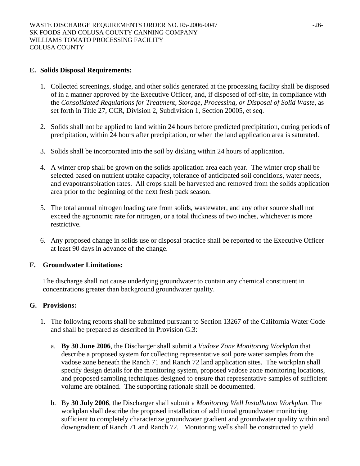### **E. Solids Disposal Requirements:**

- 1. Collected screenings, sludge, and other solids generated at the processing facility shall be disposed of in a manner approved by the Executive Officer, and, if disposed of off-site, in compliance with the *Consolidated Regulations for Treatment, Storage, Processing, or Disposal of Solid Waste,* as set forth in Title 27, CCR, Division 2, Subdivision 1, Section 20005, et seq.
- 2. Solids shall not be applied to land within 24 hours before predicted precipitation, during periods of precipitation, within 24 hours after precipitation, or when the land application area is saturated.
- 3. Solids shall be incorporated into the soil by disking within 24 hours of application.
- 4. A winter crop shall be grown on the solids application area each year. The winter crop shall be selected based on nutrient uptake capacity, tolerance of anticipated soil conditions, water needs, and evapotranspiration rates. All crops shall be harvested and removed from the solids application area prior to the beginning of the next fresh pack season.
- 5. The total annual nitrogen loading rate from solids, wastewater, and any other source shall not exceed the agronomic rate for nitrogen, or a total thickness of two inches, whichever is more restrictive.
- 6. Any proposed change in solids use or disposal practice shall be reported to the Executive Officer at least 90 days in advance of the change.

## **F. Groundwater Limitations:**

The discharge shall not cause underlying groundwater to contain any chemical constituent in concentrations greater than background groundwater quality.

## **G. Provisions:**

- 1. The following reports shall be submitted pursuant to Section 13267 of the California Water Code and shall be prepared as described in Provision G.3:
	- a. **By 30 June 2006**, the Discharger shall submit a *Vadose Zone Monitoring Workplan* that describe a proposed system for collecting representative soil pore water samples from the vadose zone beneath the Ranch 71 and Ranch 72 land application sites. The workplan shall specify design details for the monitoring system, proposed vadose zone monitoring locations, and proposed sampling techniques designed to ensure that representative samples of sufficient volume are obtained. The supporting rationale shall be documented.
	- b. By **30 July 2006**, the Discharger shall submit a *Monitoring Well Installation Workplan.* The workplan shall describe the proposed installation of additional groundwater monitoring sufficient to completely characterize groundwater gradient and groundwater quality within and downgradient of Ranch 71 and Ranch 72. Monitoring wells shall be constructed to yield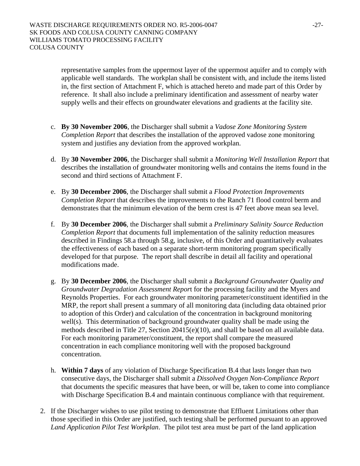representative samples from the uppermost layer of the uppermost aquifer and to comply with applicable well standards. The workplan shall be consistent with, and include the items listed in, the first section of Attachment F, which is attached hereto and made part of this Order by reference. It shall also include a preliminary identification and assessment of nearby water supply wells and their effects on groundwater elevations and gradients at the facility site.

- c. **By 30 November 2006**, the Discharger shall submit a *Vadose Zone Monitoring System Completion Report* that describes the installation of the approved vadose zone monitoring system and justifies any deviation from the approved workplan.
- d. By **30 November 2006**, the Discharger shall submit a *Monitoring Well Installation Report* that describes the installation of groundwater monitoring wells and contains the items found in the second and third sections of Attachment F.
- e. By **30 December 2006**, the Discharger shall submit a *Flood Protection Improvements Completion Report* that describes the improvements to the Ranch 71 flood control berm and demonstrates that the minimum elevation of the berm crest is 47 feet above mean sea level.
- f. By **30 December 2006**, the Discharger shall submit a *Preliminary Salinity Source Reduction Completion Report* that documents full implementation of the salinity reduction measures described in Findings 58.a through 58.g, inclusive, of this Order and quantitatively evaluates the effectiveness of each based on a separate short-term monitoring program specifically developed for that purpose. The report shall describe in detail all facility and operational modifications made.
- g. By **30 December 2006**, the Discharger shall submit a *Background Groundwater Quality and Groundwater Degradation Assessment Repor*t for the processing facility and the Myers and Reynolds Properties. For each groundwater monitoring parameter/constituent identified in the MRP, the report shall present a summary of all monitoring data (including data obtained prior to adoption of this Order) and calculation of the concentration in background monitoring well(s). This determination of background groundwater quality shall be made using the methods described in Title 27, Section 20415(e)(10), and shall be based on all available data. For each monitoring parameter/constituent, the report shall compare the measured concentration in each compliance monitoring well with the proposed background concentration.
- h. **Within 7 days** of any violation of Discharge Specification B.4 that lasts longer than two consecutive days, the Discharger shall submit a *Dissolved Oxygen Non-Compliance Report* that documents the specific measures that have been, or will be, taken to come into compliance with Discharge Specification B.4 and maintain continuous compliance with that requirement.
- 2. If the Discharger wishes to use pilot testing to demonstrate that Effluent Limitations other than those specified in this Order are justified, such testing shall be performed pursuant to an approved *Land Application Pilot Test Workplan*. The pilot test area must be part of the land application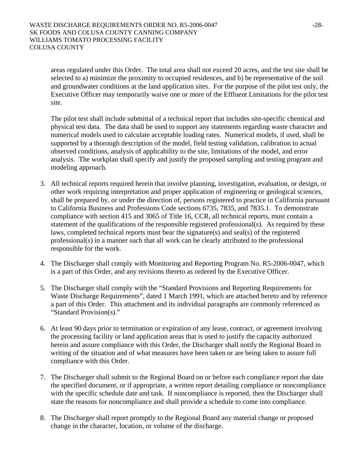areas regulated under this Order. The total area shall not exceed 20 acres, and the test site shall be selected to a) minimize the proximity to occupied residences, and b) be representative of the soil and groundwater conditions at the land application sites. For the purpose of the pilot test only, the Executive Officer may temporarily waive one or more of the Effluent Limitations for the pilot test site.

The pilot test shall include submittal of a technical report that includes site-specific chemical and physical test data. The data shall be used to support any statements regarding waste character and numerical models used to calculate acceptable loading rates. Numerical models, if used, shall be supported by a thorough description of the model, field testing validation, calibration to actual observed conditions, analysis of applicability to the site, limitations of the model, and error analysis. The workplan shall specify and justify the proposed sampling and testing program and modeling approach.

- 3. All technical reports required herein that involve planning, investigation, evaluation, or design, or other work requiring interpretation and proper application of engineering or geological sciences, shall be prepared by, or under the direction of, persons registered to practice in California pursuant to California Business and Professions Code sections 6735, 7835, and 7835.1. To demonstrate compliance with section 415 and 3065 of Title 16, CCR, all technical reports, must contain a statement of the qualifications of the responsible registered professional(s). As required by these laws, completed technical reports must bear the signature(s) and seal(s) of the registered professional(s) in a manner such that all work can be clearly attributed to the professional responsible for the work.
- 4. The Discharger shall comply with Monitoring and Reporting Program No. R5-2006-0047, which is a part of this Order, and any revisions thereto as ordered by the Executive Officer.
- 5. The Discharger shall comply with the "Standard Provisions and Reporting Requirements for Waste Discharge Requirements", dated 1 March 1991, which are attached hereto and by reference a part of this Order. This attachment and its individual paragraphs are commonly referenced as "Standard Provision(s)."
- 6. At least 90 days prior to termination or expiration of any lease, contract, or agreement involving the processing facility or land application areas that is used to justify the capacity authorized herein and assure compliance with this Order, the Discharger shall notify the Regional Board in writing of the situation and of what measures have been taken or are being taken to assure full compliance with this Order.
- 7. The Discharger shall submit to the Regional Board on or before each compliance report due date the specified document, or if appropriate, a written report detailing compliance or noncompliance with the specific schedule date and task. If noncompliance is reported, then the Discharger shall state the reasons for noncompliance and shall provide a schedule to come into compliance.
- 8. The Discharger shall report promptly to the Regional Board any material change or proposed change in the character, location, or volume of the discharge.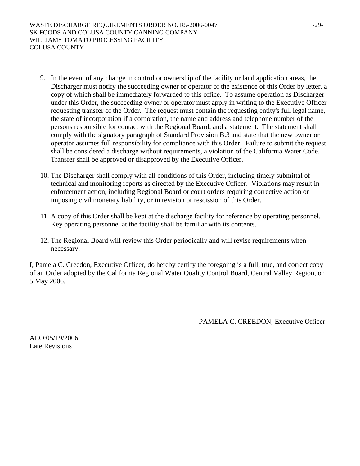- 9. In the event of any change in control or ownership of the facility or land application areas, the Discharger must notify the succeeding owner or operator of the existence of this Order by letter, a copy of which shall be immediately forwarded to this office. To assume operation as Discharger under this Order, the succeeding owner or operator must apply in writing to the Executive Officer requesting transfer of the Order. The request must contain the requesting entity's full legal name, the state of incorporation if a corporation, the name and address and telephone number of the persons responsible for contact with the Regional Board, and a statement. The statement shall comply with the signatory paragraph of Standard Provision B.3 and state that the new owner or operator assumes full responsibility for compliance with this Order. Failure to submit the request shall be considered a discharge without requirements, a violation of the California Water Code. Transfer shall be approved or disapproved by the Executive Officer.
- 10. The Discharger shall comply with all conditions of this Order, including timely submittal of technical and monitoring reports as directed by the Executive Officer. Violations may result in enforcement action, including Regional Board or court orders requiring corrective action or imposing civil monetary liability, or in revision or rescission of this Order.
- 11. A copy of this Order shall be kept at the discharge facility for reference by operating personnel. Key operating personnel at the facility shall be familiar with its contents.
- 12. The Regional Board will review this Order periodically and will revise requirements when necessary.

I, Pamela C. Creedon, Executive Officer, do hereby certify the foregoing is a full, true, and correct copy of an Order adopted by the California Regional Water Quality Control Board, Central Valley Region, on 5 May 2006.

PAMELA C. CREEDON, Executive Officer

ALO:05/19/2006 Late Revisions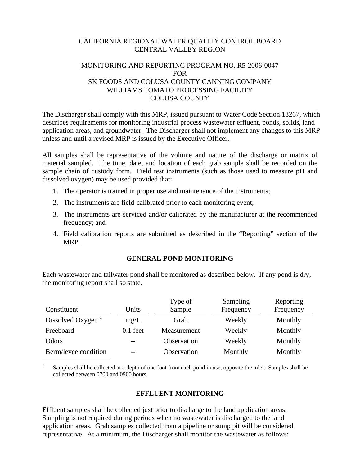### CALIFORNIA REGIONAL WATER QUALITY CONTROL BOARD CENTRAL VALLEY REGION

## MONITORING AND REPORTING PROGRAM NO. R5-2006-0047 FOR SK FOODS AND COLUSA COUNTY CANNING COMPANY WILLIAMS TOMATO PROCESSING FACILITY COLUSA COUNTY

The Discharger shall comply with this MRP, issued pursuant to Water Code Section 13267, which describes requirements for monitoring industrial process wastewater effluent, ponds, solids, land application areas, and groundwater. The Discharger shall not implement any changes to this MRP unless and until a revised MRP is issued by the Executive Officer.

All samples shall be representative of the volume and nature of the discharge or matrix of material sampled. The time, date, and location of each grab sample shall be recorded on the sample chain of custody form. Field test instruments (such as those used to measure pH and dissolved oxygen) may be used provided that:

- 1. The operator is trained in proper use and maintenance of the instruments;
- 2. The instruments are field-calibrated prior to each monitoring event;
- 3. The instruments are serviced and/or calibrated by the manufacturer at the recommended frequency; and
- 4. Field calibration reports are submitted as described in the "Reporting" section of the MRP.

#### **GENERAL POND MONITORING**

Each wastewater and tailwater pond shall be monitored as described below. If any pond is dry, the monitoring report shall so state.

|                               |            | Type of     | Sampling  | Reporting |
|-------------------------------|------------|-------------|-----------|-----------|
| Constituent                   | Units      | Sample      | Frequency | Frequency |
| Dissolved Oxygen <sup>1</sup> | mg/L       | Grab        | Weekly    | Monthly   |
| Freeboard                     | $0.1$ feet | Measurement | Weekly    | Monthly   |
| Odors                         | $ -$       | Observation | Weekly    | Monthly   |
| Berm/levee condition          | $- -$      | Observation | Monthly   | Monthly   |

Samples shall be collected at a depth of one foot from each pond in use, opposite the inlet. Samples shall be collected between 0700 and 0900 hours.

### **EFFLUENT MONITORING**

Effluent samples shall be collected just prior to discharge to the land application areas. Sampling is not required during periods when no wastewater is discharged to the land application areas. Grab samples collected from a pipeline or sump pit will be considered representative. At a minimum, the Discharger shall monitor the wastewater as follows: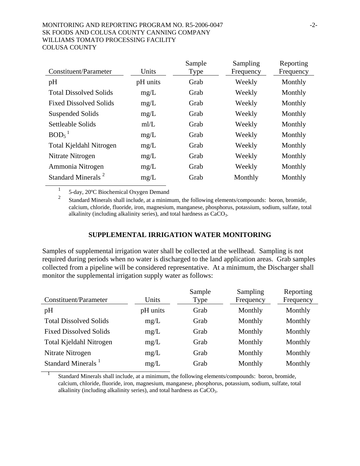#### MONITORING AND REPORTING PROGRAM NO. R5-2006-0047 -2-SK FOODS AND COLUSA COUNTY CANNING COMPANY WILLIAMS TOMATO PROCESSING FACILITY COLUSA COUNTY

|                                |          | Sample | Sampling  | Reporting |
|--------------------------------|----------|--------|-----------|-----------|
| Constituent/Parameter          | Units    | Type   | Frequency | Frequency |
| pH                             | pH units | Grab   | Weekly    | Monthly   |
| <b>Total Dissolved Solids</b>  | mg/L     | Grab   | Weekly    | Monthly   |
| <b>Fixed Dissolved Solids</b>  | mg/L     | Grab   | Weekly    | Monthly   |
| Suspended Solids               | mg/L     | Grab   | Weekly    | Monthly   |
| Settleable Solids              | m/L      | Grab   | Weekly    | Monthly   |
| BOD <sub>5</sub>               | mg/L     | Grab   | Weekly    | Monthly   |
| Total Kjeldahl Nitrogen        | mg/L     | Grab   | Weekly    | Monthly   |
| Nitrate Nitrogen               | mg/L     | Grab   | Weekly    | Monthly   |
| Ammonia Nitrogen               | mg/L     | Grab   | Weekly    | Monthly   |
| Standard Minerals <sup>2</sup> | mg/L     | Grab   | Monthly   | Monthly   |
|                                |          |        |           |           |

<sup>1</sup> 5-day, 20ºC Biochemical Oxygen Demand

2 Standard Minerals shall include, at a minimum, the following elements/compounds: boron, bromide, calcium, chloride, fluoride, iron, magnesium, manganese, phosphorus, potassium, sodium, sulfate, total alkalinity (including alkalinity series), and total hardness as  $CaCO<sub>3</sub>$ .

### **SUPPLEMENTAL IRRIGATION WATER MONITORING**

Samples of supplemental irrigation water shall be collected at the wellhead. Sampling is not required during periods when no water is discharged to the land application areas. Grab samples collected from a pipeline will be considered representative. At a minimum, the Discharger shall monitor the supplemental irrigation supply water as follows:

| Constituent/Parameter          | Units    | Sample<br><b>Type</b> | Sampling<br>Frequency | Reporting<br>Frequency |
|--------------------------------|----------|-----------------------|-----------------------|------------------------|
| pH                             | pH units | Grab                  | Monthly               | Monthly                |
| <b>Total Dissolved Solids</b>  | mg/L     | Grab                  | Monthly               | Monthly                |
| <b>Fixed Dissolved Solids</b>  | mg/L     | Grab                  | Monthly               | Monthly                |
| Total Kjeldahl Nitrogen        | mg/L     | Grab                  | Monthly               | Monthly                |
| Nitrate Nitrogen               | mg/L     | Grab                  | Monthly               | Monthly                |
| Standard Minerals <sup>1</sup> | mg/L     | Grab                  | Monthly               | Monthly                |

<sup>1</sup> Standard Minerals shall include, at a minimum, the following elements/compounds: boron, bromide, calcium, chloride, fluoride, iron, magnesium, manganese, phosphorus, potassium, sodium, sulfate, total alkalinity (including alkalinity series), and total hardness as CaCO<sub>3</sub>.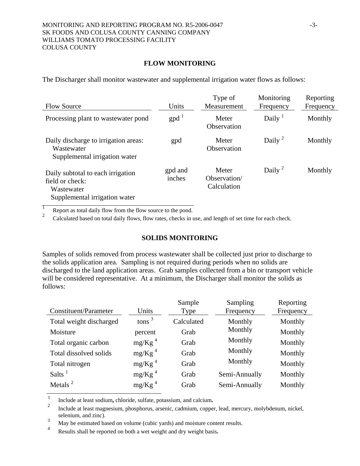### **FLOW MONITORING**

The Discharger shall monitor wastewater and supplemental irrigation water flows as follows:

| <b>Flow Source</b>                                                                                  | Units             | Type of<br>Measurement               | Monitoring<br>Frequency | Reporting<br>Frequency |
|-----------------------------------------------------------------------------------------------------|-------------------|--------------------------------------|-------------------------|------------------------|
| Processing plant to wastewater pond                                                                 | $\text{gpd}^{-1}$ | Meter<br>Observation                 | Daily $1$               | Monthly                |
| Daily discharge to irrigation areas:<br>Wastewater<br>Supplemental irrigation water                 | gpd               | Meter<br>Observation                 | Daily <sup>2</sup>      | Monthly                |
| Daily subtotal to each irrigation<br>field or check:<br>Wastewater<br>Supplemental irrigation water | gpd and<br>inches | Meter<br>Observation/<br>Calculation | Daily <sup>2</sup>      | Monthly                |

**1** Report as total daily flow from the flow source to the pond.

<sup>2</sup> Calculated based on total daily flows, flow rates, checks in use, and length of set time for each check.

#### **SOLIDS MONITORING**

Samples of solids removed from process wastewater shall be collected just prior to discharge to the solids application area. Sampling is not required during periods when no solids are discharged to the land application areas. Grab samples collected from a bin or transport vehicle will be considered representative. At a minimum, the Discharger shall monitor the solids as follows:

| Constituent/Parameter   | Units              | Sample<br>Type | Sampling<br>Frequency | Reporting<br>Frequency |
|-------------------------|--------------------|----------------|-----------------------|------------------------|
| Total weight discharged | $tons^3$           | Calculated     | Monthly               | Monthly                |
| Moisture                | percent            | Grab           | Monthly               | Monthly                |
| Total organic carbon    | mg/Kg <sup>4</sup> | Grab           | Monthly               | Monthly                |
| Total dissolved solids  | mg/Kg <sup>4</sup> | Grab           | Monthly               | Monthly                |
| Total nitrogen          | mg/Kg <sup>4</sup> | Grab           | Monthly               | Monthly                |
| Salts $1$               | mg/Kg <sup>4</sup> | Grab           | Semi-Annually         | Monthly                |
| Metals $^2$             | mg/Kg <sup>4</sup> | Grab           | Semi-Annually         | Monthly                |

1 Include at least sodium**,** chloride, sulfate, potassium, and calcium**.** <sup>2</sup>

 Include at least magnesium, phosphorus, arsenic, cadmium, copper, lead, mercury, molybdenum, nickel, selenium, and zinc). 3

 $\frac{3}{4}$  May be estimated based on volume (cubic yards) and moisture content results.

<sup>4</sup> Results shall be reported on both a wet weight and dry weight basis**.**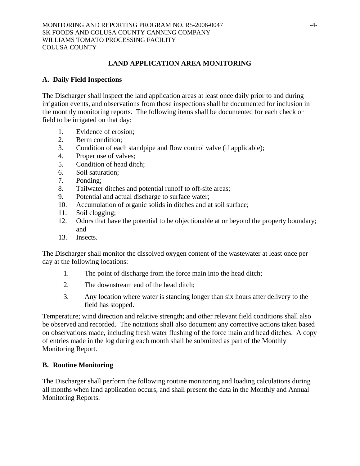## **LAND APPLICATION AREA MONITORING**

### **A. Daily Field Inspections**

The Discharger shall inspect the land application areas at least once daily prior to and during irrigation events, and observations from those inspections shall be documented for inclusion in the monthly monitoring reports. The following items shall be documented for each check or field to be irrigated on that day:

- 1. Evidence of erosion;
- 2. Berm condition;
- 3. Condition of each standpipe and flow control valve (if applicable);
- 4. Proper use of valves;
- 5. Condition of head ditch;
- 6. Soil saturation;
- 7. Ponding;
- 8. Tailwater ditches and potential runoff to off-site areas;
- 9. Potential and actual discharge to surface water;
- 10. Accumulation of organic solids in ditches and at soil surface;
- 11. Soil clogging;
- 12. Odors that have the potential to be objectionable at or beyond the property boundary; and
- 13. Insects.

The Discharger shall monitor the dissolved oxygen content of the wastewater at least once per day at the following locations:

- 1. The point of discharge from the force main into the head ditch;
- 2. The downstream end of the head ditch;
- 3. Any location where water is standing longer than six hours after delivery to the field has stopped.

Temperature; wind direction and relative strength; and other relevant field conditions shall also be observed and recorded. The notations shall also document any corrective actions taken based on observations made, including fresh water flushing of the force main and head ditches. A copy of entries made in the log during each month shall be submitted as part of the Monthly Monitoring Report.

## **B. Routine Monitoring**

The Discharger shall perform the following routine monitoring and loading calculations during all months when land application occurs, and shall present the data in the Monthly and Annual Monitoring Reports.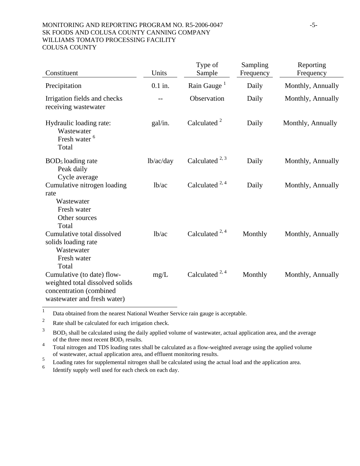#### MONITORING AND REPORTING PROGRAM NO. R5-2006-0047 -5-SK FOODS AND COLUSA COUNTY CANNING COMPANY WILLIAMS TOMATO PROCESSING FACILITY COLUSA COUNTY

| Constituent                                                                                                             | Units              | Type of<br>Sample                    | Sampling<br>Frequency | Reporting<br>Frequency |
|-------------------------------------------------------------------------------------------------------------------------|--------------------|--------------------------------------|-----------------------|------------------------|
| Precipitation                                                                                                           | $0.1$ in.          | Rain Gauge <sup><math>1</math></sup> | Daily                 | Monthly, Annually      |
| Irrigation fields and checks<br>receiving wastewater                                                                    |                    | Observation                          | Daily                 | Monthly, Annually      |
| Hydraulic loading rate:<br>Wastewater<br>Fresh water <sup>6</sup><br>Total                                              | gal/in.            | Calculated <sup>2</sup>              | Daily                 | Monthly, Annually      |
| $BOD5$ loading rate<br>Peak daily<br>Cycle average                                                                      | lb/ac/day          | Calculated $^{2, 3}$                 | Daily                 | Monthly, Annually      |
| Cumulative nitrogen loading<br>rate<br>Wastewater<br>Fresh water<br>Other sources<br>Total                              | lb/ac              | Calculated $^{2, 4}$                 | Daily                 | Monthly, Annually      |
| Cumulative total dissolved<br>solids loading rate<br>Wastewater<br>Fresh water<br>Total                                 | 1 <sub>b</sub> /ac | Calculated $^{2, 4}$                 | Monthly               | Monthly, Annually      |
| Cumulative (to date) flow-<br>weighted total dissolved solids<br>concentration (combined<br>wastewater and fresh water) | mg/L               | Calculated $^{2, 4}$                 | Monthly               | Monthly, Annually      |

<sup>1</sup> Data obtained from the nearest National Weather Service rain gauge is acceptable.

<sup>2</sup> Rate shall be calculated for each irrigation check.

 $3$  BOD<sub>5</sub> shall be calculated using the daily applied volume of wastewater, actual application area, and the average of the three most recent  $BOD<sub>5</sub>$  results.

<sup>4</sup> Total nitrogen and TDS loading rates shall be calculated as a flow-weighted average using the applied volume of wastewater, actual application area, and effluent monitoring results.

<sup>5</sup> Loading rates for supplemental nitrogen shall be calculated using the actual load and the application area.

6 Identify supply well used for each check on each day.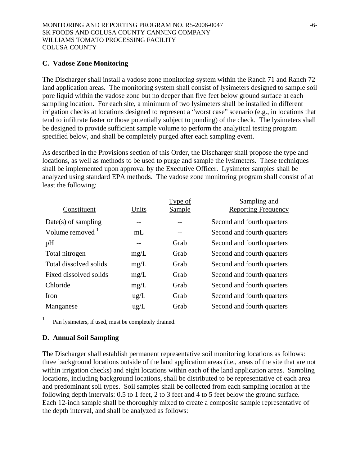### **C. Vadose Zone Monitoring**

The Discharger shall install a vadose zone monitoring system within the Ranch 71 and Ranch 72 land application areas. The monitoring system shall consist of lysimeters designed to sample soil pore liquid within the vadose zone but no deeper than five feet below ground surface at each sampling location. For each site, a minimum of two lysimeters shall be installed in different irrigation checks at locations designed to represent a "worst case" scenario (e.g., in locations that tend to infiltrate faster or those potentially subject to ponding) of the check. The lysimeters shall be designed to provide sufficient sample volume to perform the analytical testing program specified below, and shall be completely purged after each sampling event.

As described in the Provisions section of this Order, the Discharger shall propose the type and locations, as well as methods to be used to purge and sample the lysimeters. These techniques shall be implemented upon approval by the Executive Officer. Lysimeter samples shall be analyzed using standard EPA methods. The vadose zone monitoring program shall consist of at least the following:

|               | Type of       | Sampling and               |
|---------------|---------------|----------------------------|
| Units         | <b>Sample</b> | <b>Reporting Frequency</b> |
|               |               | Second and fourth quarters |
| mL            |               | Second and fourth quarters |
|               | Grab          | Second and fourth quarters |
| mg/L          | Grab          | Second and fourth quarters |
| mg/L          | Grab          | Second and fourth quarters |
| mg/L          | Grab          | Second and fourth quarters |
| mg/L          | Grab          | Second and fourth quarters |
| $\text{ug/L}$ | Grab          | Second and fourth quarters |
| $\text{ug/L}$ | Grab          | Second and fourth quarters |
|               |               |                            |

<sup>1</sup> Pan lysimeters, if used, must be completely drained.

## **D. Annual Soil Sampling**

The Discharger shall establish permanent representative soil monitoring locations as follows: three background locations outside of the land application areas (i.e., areas of the site that are not within irrigation checks) and eight locations within each of the land application areas. Sampling locations, including background locations, shall be distributed to be representative of each area and predominant soil types. Soil samples shall be collected from each sampling location at the following depth intervals: 0.5 to 1 feet, 2 to 3 feet and 4 to 5 feet below the ground surface. Each 12-inch sample shall be thoroughly mixed to create a composite sample representative of the depth interval, and shall be analyzed as follows: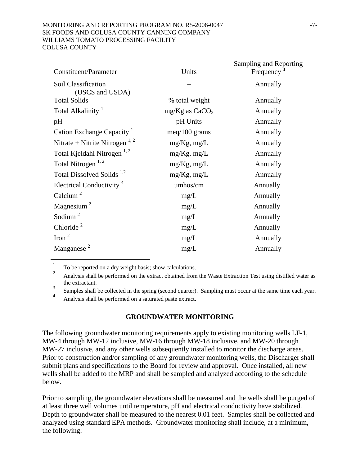#### MONITORING AND REPORTING PROGRAM NO. R5-2006-0047 -7-SK FOODS AND COLUSA COUNTY CANNING COMPANY WILLIAMS TOMATO PROCESSING FACILITY COLUSA COUNTY

| <b>Constituent/Parameter</b>              | Units              | Sampling and Reporting |
|-------------------------------------------|--------------------|------------------------|
|                                           |                    | Frequency              |
| Soil Classification<br>(USCS and USDA)    |                    | Annually               |
| <b>Total Solids</b>                       | % total weight     | Annually               |
| Total Alkalinity <sup>1</sup>             | $mg/Kg$ as $CaCO3$ | Annually               |
| pH                                        | pH Units           | Annually               |
| Cation Exchange Capacity <sup>1</sup>     | $meq/100$ grams    | Annually               |
| Nitrate + Nitrite Nitrogen <sup>1,2</sup> | $mg/Kg$ , mg/L     | Annually               |
| Total Kjeldahl Nitrogen <sup>1,2</sup>    | $mg/Kg$ , mg/L     | Annually               |
| Total Nitrogen $^{1,2}$                   | $mg/Kg$ , mg/L     | Annually               |
| Total Dissolved Solids <sup>1,2</sup>     | $mg/Kg$ , mg/L     | Annually               |
| Electrical Conductivity <sup>4</sup>      | umhos/cm           | Annually               |
| Calcium $2$                               | mg/L               | Annually               |
| Magnesium <sup>2</sup>                    | mg/L               | Annually               |
| Sodium $^2$                               | mg/L               | Annually               |
| Chloride <sup>2</sup>                     | mg/L               | Annually               |
| Iron $^2$                                 | mg/L               | Annually               |
| Manganese $2$                             | mg/L               | Annually               |
|                                           |                    |                        |

 $\frac{1}{2}$  To be reported on a dry weight basis; show calculations.

2 Analysis shall be performed on the extract obtained from the Waste Extraction Test using distilled water as the extractant.

3 Samples shall be collected in the spring (second quarter). Sampling must occur at the same time each year.

4 Analysis shall be performed on a saturated paste extract.

#### **GROUNDWATER MONITORING**

The following groundwater monitoring requirements apply to existing monitoring wells LF-1, MW-4 through MW-12 inclusive, MW-16 through MW-18 inclusive, and MW-20 through MW-27 inclusive, and any other wells subsequently installed to monitor the discharge areas. Prior to construction and/or sampling of any groundwater monitoring wells, the Discharger shall submit plans and specifications to the Board for review and approval. Once installed, all new wells shall be added to the MRP and shall be sampled and analyzed according to the schedule below.

Prior to sampling, the groundwater elevations shall be measured and the wells shall be purged of at least three well volumes until temperature, pH and electrical conductivity have stabilized. Depth to groundwater shall be measured to the nearest 0.01 feet. Samples shall be collected and analyzed using standard EPA methods. Groundwater monitoring shall include, at a minimum, the following: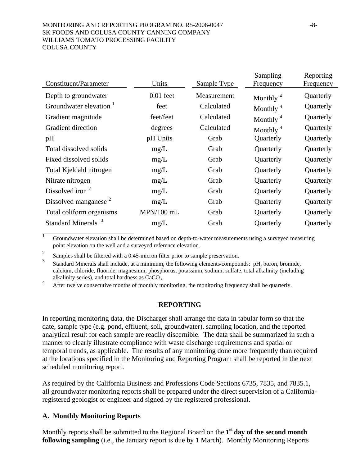#### MONITORING AND REPORTING PROGRAM NO. R5-2006-0047 -8-SK FOODS AND COLUSA COUNTY CANNING COMPANY WILLIAMS TOMATO PROCESSING FACILITY COLUSA COUNTY

|                                  |              |             | Sampling                | Reporting |
|----------------------------------|--------------|-------------|-------------------------|-----------|
| Constituent/Parameter            | Units        | Sample Type | Frequency               | Frequency |
| Depth to groundwater             | $0.01$ feet  | Measurement | Monthly <sup>4</sup>    | Quarterly |
| Groundwater elevation            | feet         | Calculated  | Monthly $4\overline{ }$ | Quarterly |
| Gradient magnitude               | feet/feet    | Calculated  | Monthly <sup>4</sup>    | Quarterly |
| Gradient direction               | degrees      | Calculated  | Monthly <sup>4</sup>    | Quarterly |
| pH                               | pH Units     | Grab        | Quarterly               | Quarterly |
| Total dissolved solids           | mg/L         | Grab        | Quarterly               | Quarterly |
| Fixed dissolved solids           | mg/L         | Grab        | Quarterly               | Quarterly |
| Total Kjeldahl nitrogen          | mg/L         | Grab        | Quarterly               | Quarterly |
| Nitrate nitrogen                 | mg/L         | Grab        | Quarterly               | Quarterly |
| Dissolved iron $2$               | mg/L         | Grab        | Quarterly               | Quarterly |
| Dissolved manganese <sup>2</sup> | mg/L         | Grab        | Quarterly               | Quarterly |
| Total coliform organisms         | $MPN/100$ mL | Grab        | Quarterly               | Quarterly |
| <b>Standard Minerals</b>         | mg/L         | Grab        | Quarterly               | Quarterly |
|                                  |              |             |                         |           |

<sup>1</sup> Groundwater elevation shall be determined based on depth-to-water measurements using a surveyed measuring point elevation on the well and a surveyed reference elevation.

<sup>2</sup> Samples shall be filtered with a 0.45-micron filter prior to sample preservation.

3 Standard Minerals shall include, at a minimum, the following elements/compounds: pH, boron, bromide, calcium, chloride, fluoride, magnesium, phosphorus, potassium, sodium, sulfate, total alkalinity (including alkalinity series), and total hardness as  $CaCO<sub>3</sub>$ .

After twelve consecutive months of monthly monitoring, the monitoring frequency shall be quarterly.

#### **REPORTING**

In reporting monitoring data, the Discharger shall arrange the data in tabular form so that the date, sample type (e.g. pond, effluent, soil, groundwater), sampling location, and the reported analytical result for each sample are readily discernible. The data shall be summarized in such a manner to clearly illustrate compliance with waste discharge requirements and spatial or temporal trends, as applicable. The results of any monitoring done more frequently than required at the locations specified in the Monitoring and Reporting Program shall be reported in the next scheduled monitoring report.

As required by the California Business and Professions Code Sections 6735, 7835, and 7835.1, all groundwater monitoring reports shall be prepared under the direct supervision of a Californiaregistered geologist or engineer and signed by the registered professional.

#### **A. Monthly Monitoring Reports**

Monthly reports shall be submitted to the Regional Board on the **1st day of the second month following sampling** (i.e., the January report is due by 1 March). Monthly Monitoring Reports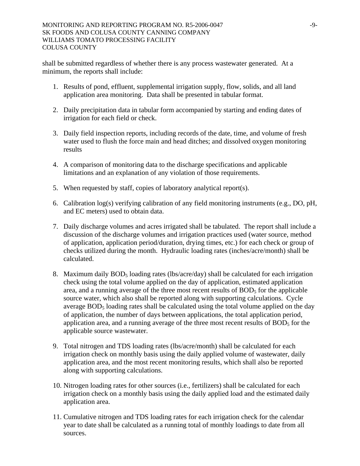shall be submitted regardless of whether there is any process wastewater generated. At a minimum, the reports shall include:

- 1. Results of pond, effluent, supplemental irrigation supply, flow, solids, and all land application area monitoring. Data shall be presented in tabular format.
- 2. Daily precipitation data in tabular form accompanied by starting and ending dates of irrigation for each field or check.
- 3. Daily field inspection reports, including records of the date, time, and volume of fresh water used to flush the force main and head ditches; and dissolved oxygen monitoring results
- 4. A comparison of monitoring data to the discharge specifications and applicable limitations and an explanation of any violation of those requirements.
- 5. When requested by staff, copies of laboratory analytical report(s).
- 6. Calibration log(s) verifying calibration of any field monitoring instruments (e.g., DO, pH, and EC meters) used to obtain data.
- 7. Daily discharge volumes and acres irrigated shall be tabulated. The report shall include a discussion of the discharge volumes and irrigation practices used (water source, method of application, application period/duration, drying times, etc.) for each check or group of checks utilized during the month. Hydraulic loading rates (inches/acre/month) shall be calculated.
- 8. Maximum daily  $BOD<sub>5</sub>$  loading rates (lbs/acre/day) shall be calculated for each irrigation check using the total volume applied on the day of application, estimated application area, and a running average of the three most recent results of  $BOD<sub>5</sub>$  for the applicable source water, which also shall be reported along with supporting calculations. Cycle average BOD<sub>5</sub> loading rates shall be calculated using the total volume applied on the day of application, the number of days between applications, the total application period, application area, and a running average of the three most recent results of  $BOD<sub>5</sub>$  for the applicable source wastewater.
- 9. Total nitrogen and TDS loading rates (lbs/acre/month) shall be calculated for each irrigation check on monthly basis using the daily applied volume of wastewater, daily application area, and the most recent monitoring results, which shall also be reported along with supporting calculations.
- 10. Nitrogen loading rates for other sources (i.e., fertilizers) shall be calculated for each irrigation check on a monthly basis using the daily applied load and the estimated daily application area.
- 11. Cumulative nitrogen and TDS loading rates for each irrigation check for the calendar year to date shall be calculated as a running total of monthly loadings to date from all sources.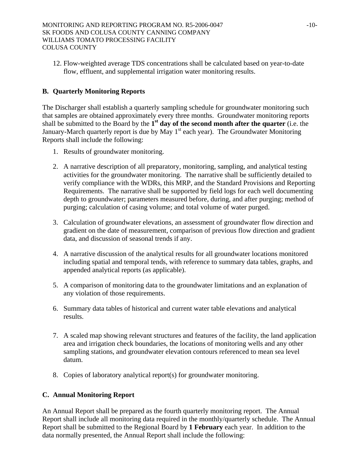12. Flow-weighted average TDS concentrations shall be calculated based on year-to-date flow, effluent, and supplemental irrigation water monitoring results.

## **B. Quarterly Monitoring Reports**

The Discharger shall establish a quarterly sampling schedule for groundwater monitoring such that samples are obtained approximately every three months. Groundwater monitoring reports shall be submitted to the Board by the **1st day of the second month after the quarter** (i.e. the January-March quarterly report is due by May  $1<sup>st</sup>$  each year). The Groundwater Monitoring Reports shall include the following:

- 1. Results of groundwater monitoring.
- 2. A narrative description of all preparatory, monitoring, sampling, and analytical testing activities for the groundwater monitoring. The narrative shall be sufficiently detailed to verify compliance with the WDRs, this MRP, and the Standard Provisions and Reporting Requirements. The narrative shall be supported by field logs for each well documenting depth to groundwater; parameters measured before, during, and after purging; method of purging; calculation of casing volume; and total volume of water purged.
- 3. Calculation of groundwater elevations, an assessment of groundwater flow direction and gradient on the date of measurement, comparison of previous flow direction and gradient data, and discussion of seasonal trends if any.
- 4. A narrative discussion of the analytical results for all groundwater locations monitored including spatial and temporal tends, with reference to summary data tables, graphs, and appended analytical reports (as applicable).
- 5. A comparison of monitoring data to the groundwater limitations and an explanation of any violation of those requirements.
- 6. Summary data tables of historical and current water table elevations and analytical results.
- 7. A scaled map showing relevant structures and features of the facility, the land application area and irrigation check boundaries, the locations of monitoring wells and any other sampling stations, and groundwater elevation contours referenced to mean sea level datum.
- 8. Copies of laboratory analytical report(s) for groundwater monitoring.

## **C. Annual Monitoring Report**

An Annual Report shall be prepared as the fourth quarterly monitoring report. The Annual Report shall include all monitoring data required in the monthly/quarterly schedule. The Annual Report shall be submitted to the Regional Board by **1 February** each year. In addition to the data normally presented, the Annual Report shall include the following: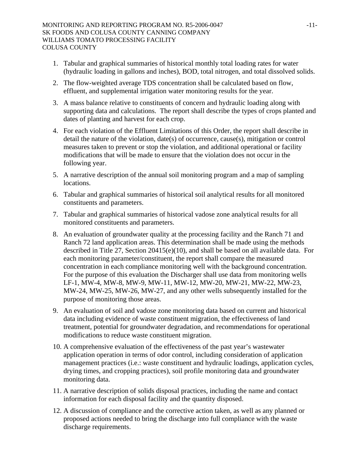- 1. Tabular and graphical summaries of historical monthly total loading rates for water (hydraulic loading in gallons and inches), BOD, total nitrogen, and total dissolved solids.
- 2. The flow-weighted average TDS concentration shall be calculated based on flow, effluent, and supplemental irrigation water monitoring results for the year.
- 3. A mass balance relative to constituents of concern and hydraulic loading along with supporting data and calculations. The report shall describe the types of crops planted and dates of planting and harvest for each crop.
- 4. For each violation of the Effluent Limitations of this Order, the report shall describe in detail the nature of the violation, date(s) of occurrence, cause(s), mitigation or control measures taken to prevent or stop the violation, and additional operational or facility modifications that will be made to ensure that the violation does not occur in the following year.
- 5. A narrative description of the annual soil monitoring program and a map of sampling locations.
- 6. Tabular and graphical summaries of historical soil analytical results for all monitored constituents and parameters.
- 7. Tabular and graphical summaries of historical vadose zone analytical results for all monitored constituents and parameters.
- 8. An evaluation of groundwater quality at the processing facility and the Ranch 71 and Ranch 72 land application areas. This determination shall be made using the methods described in Title 27, Section 20415(e)(10), and shall be based on all available data. For each monitoring parameter/constituent, the report shall compare the measured concentration in each compliance monitoring well with the background concentration. For the purpose of this evaluation the Discharger shall use data from monitoring wells LF-1, MW-4, MW-8, MW-9, MW-11, MW-12, MW-20, MW-21, MW-22, MW-23, MW-24, MW-25, MW-26, MW-27, and any other wells subsequently installed for the purpose of monitoring those areas.
- 9. An evaluation of soil and vadose zone monitoring data based on current and historical data including evidence of waste constituent migration, the effectiveness of land treatment, potential for groundwater degradation, and recommendations for operational modifications to reduce waste constituent migration.
- 10. A comprehensive evaluation of the effectiveness of the past year's wastewater application operation in terms of odor control, including consideration of application management practices (i.e.: waste constituent and hydraulic loadings, application cycles, drying times, and cropping practices), soil profile monitoring data and groundwater monitoring data.
- 11. A narrative description of solids disposal practices, including the name and contact information for each disposal facility and the quantity disposed.
- 12. A discussion of compliance and the corrective action taken, as well as any planned or proposed actions needed to bring the discharge into full compliance with the waste discharge requirements.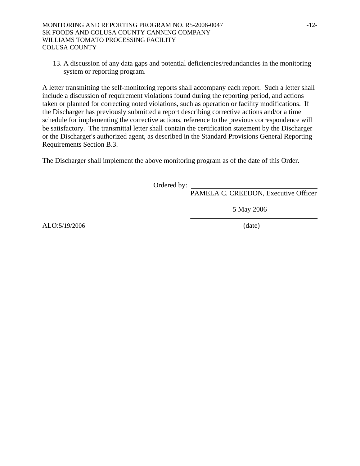13. A discussion of any data gaps and potential deficiencies/redundancies in the monitoring system or reporting program.

A letter transmitting the self-monitoring reports shall accompany each report. Such a letter shall include a discussion of requirement violations found during the reporting period, and actions taken or planned for correcting noted violations, such as operation or facility modifications. If the Discharger has previously submitted a report describing corrective actions and/or a time schedule for implementing the corrective actions, reference to the previous correspondence will be satisfactory. The transmittal letter shall contain the certification statement by the Discharger or the Discharger's authorized agent, as described in the Standard Provisions General Reporting Requirements Section B.3.

The Discharger shall implement the above monitoring program as of the date of this Order.

Ordered by:

PAMELA C. CREEDON, Executive Officer

5 May 2006

ALO:5/19/2006 (date)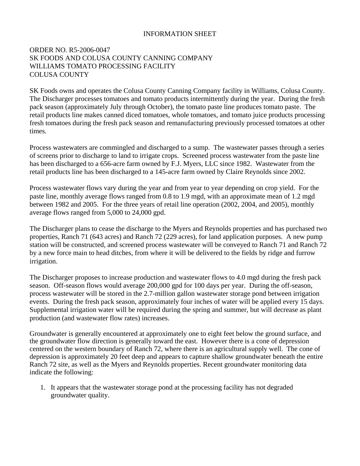### INFORMATION SHEET

### ORDER NO. R5-2006-0047 SK FOODS AND COLUSA COUNTY CANNING COMPANY WILLIAMS TOMATO PROCESSING FACILITY COLUSA COUNTY

SK Foods owns and operates the Colusa County Canning Company facility in Williams, Colusa County. The Discharger processes tomatoes and tomato products intermittently during the year. During the fresh pack season (approximately July through October), the tomato paste line produces tomato paste. The retail products line makes canned diced tomatoes, whole tomatoes, and tomato juice products processing fresh tomatoes during the fresh pack season and remanufacturing previously processed tomatoes at other times.

Process wastewaters are commingled and discharged to a sump. The wastewater passes through a series of screens prior to discharge to land to irrigate crops. Screened process wastewater from the paste line has been discharged to a 656-acre farm owned by F.J. Myers, LLC since 1982. Wastewater from the retail products line has been discharged to a 145-acre farm owned by Claire Reynolds since 2002.

Process wastewater flows vary during the year and from year to year depending on crop yield. For the paste line, monthly average flows ranged from 0.8 to 1.9 mgd, with an approximate mean of 1.2 mgd between 1982 and 2005. For the three years of retail line operation (2002, 2004, and 2005), monthly average flows ranged from 5,000 to 24,000 gpd.

The Discharger plans to cease the discharge to the Myers and Reynolds properties and has purchased two properties, Ranch 71 (643 acres) and Ranch 72 (229 acres), for land application purposes. A new pump station will be constructed, and screened process wastewater will be conveyed to Ranch 71 and Ranch 72 by a new force main to head ditches, from where it will be delivered to the fields by ridge and furrow irrigation.

The Discharger proposes to increase production and wastewater flows to 4.0 mgd during the fresh pack season. Off-season flows would average 200,000 gpd for 100 days per year. During the off-season, process wastewater will be stored in the 2.7-million gallon wastewater storage pond between irrigation events. During the fresh pack season, approximately four inches of water will be applied every 15 days. Supplemental irrigation water will be required during the spring and summer, but will decrease as plant production (and wastewater flow rates) increases.

Groundwater is generally encountered at approximately one to eight feet below the ground surface, and the groundwater flow direction is generally toward the east. However there is a cone of depression centered on the western boundary of Ranch 72, where there is an agricultural supply well. The cone of depression is approximately 20 feet deep and appears to capture shallow groundwater beneath the entire Ranch 72 site, as well as the Myers and Reynolds properties. Recent groundwater monitoring data indicate the following:

1. It appears that the wastewater storage pond at the processing facility has not degraded groundwater quality.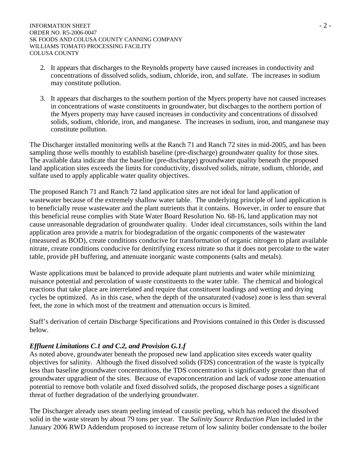- 2. It appears that discharges to the Reynolds property have caused increases in conductivity and concentrations of dissolved solids, sodium, chloride, iron, and sulfate. The increases in sodium may constitute pollution.
- 3. It appears that discharges to the southern portion of the Myers property have not caused increases in concentrations of waste constituents in groundwater, but discharges to the northern portion of the Myers property may have caused increases in conductivity and concentrations of dissolved solids, sodium, chloride, iron, and manganese. The increases in sodium, iron, and manganese may constitute pollution.

The Discharger installed monitoring wells at the Ranch 71 and Ranch 72 sites in mid-2005, and has been sampling those wells monthly to establish baseline (pre-discharge) groundwater quality for those sites. The available data indicate that the baseline (pre-discharge) groundwater quality beneath the proposed land application sites exceeds the limits for conductivity, dissolved solids, nitrate, sodium, chloride, and sulfate used to apply applicable water quality objectives.

The proposed Ranch 71 and Ranch 72 land application sites are not ideal for land application of wastewater because of the extremely shallow water table. The underlying principle of land application is to beneficially reuse wastewater and the plant nutrients that it contains. However, in order to ensure that this beneficial reuse complies with State Water Board Resolution No. 68-16, land application may not cause unreasonable degradation of groundwater quality. Under ideal circumstances, soils within the land application area provide a matrix for biodegradation of the organic components of the wastewater (measured as BOD), create conditions conducive for transformation of organic nitrogen to plant available nitrate, create conditions conducive for denitrifying excess nitrate so that it does not percolate to the water table, provide pH buffering, and attenuate inorganic waste components (salts and metals).

Waste applications must be balanced to provide adequate plant nutrients and water while minimizing nuisance potential and percolation of waste constituents to the water table. The chemical and biological reactions that take place are interrelated and require that constituent loadings and wetting and drying cycles be optimized. As in this case, when the depth of the unsaturated (vadose) zone is less than several feet, the zone in which most of the treatment and attenuation occurs is limited.

Staff's derivation of certain Discharge Specifications and Provisions contained in this Order is discussed below.

## *Effluent Limitations C.1 and C.2, and Provision G.1.f*

As noted above, groundwater beneath the proposed new land application sites exceeds water quality objectives for salinity. Although the fixed dissolved solids (FDS) concentration of the waste is typically less than baseline groundwater concentrations, the TDS concentration is significantly greater than that of groundwater upgradient of the sites. Because of evapoconcentration and lack of vadose zone attenuation potential to remove both volatile and fixed dissolved solids, the proposed discharge poses a significant threat of further degradation of the underlying groundwater.

The Discharger already uses steam peeling instead of caustic peeling, which has reduced the dissolved solid in the waste stream by about 79 tons per year. The *Salinity Source Reduction Plan* included in the January 2006 RWD Addendum proposed to increase return of low salinity boiler condensate to the boiler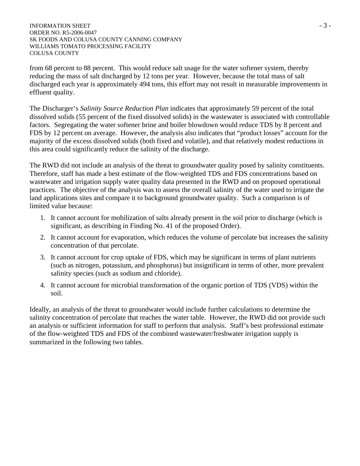#### INFORMATION SHEET  $-3$  -ORDER NO. R5-2006-0047 SK FOODS AND COLUSA COUNTY CANNING COMPANY WILLIAMS TOMATO PROCESSING FACILITY COLUSA COUNTY

from 68 percent to 88 percent. This would reduce salt usage for the water softener system, thereby reducing the mass of salt discharged by 12 tons per year. However, because the total mass of salt discharged each year is approximately 494 tons, this effort may not result in measurable improvements in effluent quality.

The Discharger's *Salinity Source Reduction Plan* indicates that approximately 59 percent of the total dissolved solids (55 percent of the fixed dissolved solids) in the wastewater is associated with controllable factors. Segregating the water softener brine and boiler blowdown would reduce TDS by 8 percent and FDS by 12 percent on average. However, the analysis also indicates that "product losses" account for the majority of the excess dissolved solids (both fixed and volatile), and that relatively modest reductions in this area could significantly reduce the salinity of the discharge.

The RWD did not include an analysis of the threat to groundwater quality posed by salinity constituents. Therefore, staff has made a best estimate of the flow-weighted TDS and FDS concentrations based on wastewater and irrigation supply water quality data presented in the RWD and on proposed operational practices. The objective of the analysis was to assess the overall salinity of the water used to irrigate the land applications sites and compare it to background groundwater quality. Such a comparison is of limited value because:

- 1. It cannot account for mobilization of salts already present in the soil prior to discharge (which is significant, as describing in Finding No. 41 of the proposed Order).
- 2. It cannot account for evaporation, which reduces the volume of percolate but increases the salinity concentration of that percolate.
- 3. It cannot account for crop uptake of FDS, which may be significant in terms of plant nutrients (such as nitrogen, potassium, and phosphorus) but insignificant in terms of other, more prevalent salinity species (such as sodium and chloride).
- 4. It cannot account for microbial transformation of the organic portion of TDS (VDS) within the soil.

Ideally, an analysis of the threat to groundwater would include further calculations to determine the salinity concentration of percolate that reaches the water table. However, the RWD did not provide such an analysis or sufficient information for staff to perform that analysis. Staff's best professional estimate of the flow-weighted TDS and FDS of the combined wastewater/freshwater irrigation supply is summarized in the following two tables.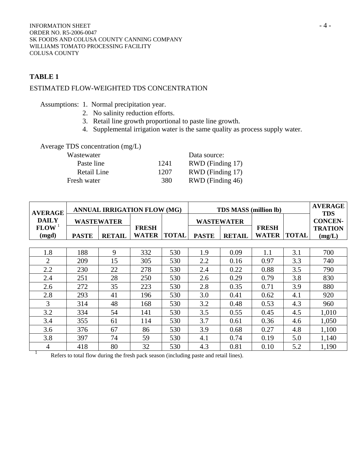### **TABLE 1**

## ESTIMATED FLOW-WEIGHTED TDS CONCENTRATION

Assumptions: 1. Normal precipitation year.

- 2. No salinity reduction efforts.
- 3. Retail line growth proportional to paste line growth.
- 4. Supplemental irrigation water is the same quality as process supply water.

## Average TDS concentration (mg/L)

| Wastewater  |      | Data source:     |
|-------------|------|------------------|
| Paste line  | 1241 | RWD (Finding 17) |
| Retail Line | 1207 | RWD (Finding 17) |
| Fresh water | 380  | RWD (Finding 46) |

| <b>AVERAGE</b>    | <b>ANNUAL IRRIGATION FLOW (MG)</b> |                   |              | <b>TDS MASS (million lb)</b> |              |                   |              | <b>AVERAGE</b><br><b>TDS</b> |                |
|-------------------|------------------------------------|-------------------|--------------|------------------------------|--------------|-------------------|--------------|------------------------------|----------------|
| <b>DAILY</b>      |                                    | <b>WASTEWATER</b> |              |                              |              | <b>WASTEWATER</b> |              |                              | <b>CONCEN-</b> |
| FLOW <sup>1</sup> |                                    |                   | <b>FRESH</b> |                              |              |                   | <b>FRESH</b> |                              | <b>TRATION</b> |
| (mgd)             | <b>PASTE</b>                       | <b>RETAIL</b>     | <b>WATER</b> | <b>TOTAL</b>                 | <b>PASTE</b> | <b>RETAIL</b>     | <b>WATER</b> | <b>TOTAL</b>                 | (mg/L)         |
|                   |                                    |                   |              |                              |              |                   |              |                              |                |
| 1.8               | 188                                | 9                 | 332          | 530                          | 1.9          | 0.09              | 1.1          | 3.1                          | 700            |
| $\overline{2}$    | 209                                | 15                | 305          | 530                          | 2.2          | 0.16              | 0.97         | 3.3                          | 740            |
| 2.2               | 230                                | 22                | 278          | 530                          | 2.4          | 0.22              | 0.88         | 3.5                          | 790            |
| 2.4               | 251                                | 28                | 250          | 530                          | 2.6          | 0.29              | 0.79         | 3.8                          | 830            |
| 2.6               | 272                                | 35                | 223          | 530                          | 2.8          | 0.35              | 0.71         | 3.9                          | 880            |
| 2.8               | 293                                | 41                | 196          | 530                          | 3.0          | 0.41              | 0.62         | 4.1                          | 920            |
| 3                 | 314                                | 48                | 168          | 530                          | 3.2          | 0.48              | 0.53         | 4.3                          | 960            |
| 3.2               | 334                                | 54                | 141          | 530                          | 3.5          | 0.55              | 0.45         | 4.5                          | 1,010          |
| 3.4               | 355                                | 61                | 114          | 530                          | 3.7          | 0.61              | 0.36         | 4.6                          | 1,050          |
| 3.6               | 376                                | 67                | 86           | 530                          | 3.9          | 0.68              | 0.27         | 4.8                          | 1,100          |
| 3.8               | 397                                | 74                | 59           | 530                          | 4.1          | 0.74              | 0.19         | 5.0                          | 1,140          |
| 4                 | 418                                | 80                | 32           | 530                          | 4.3          | 0.81              | 0.10         | 5.2                          | 1,190          |

Refers to total flow during the fresh pack season (including paste and retail lines).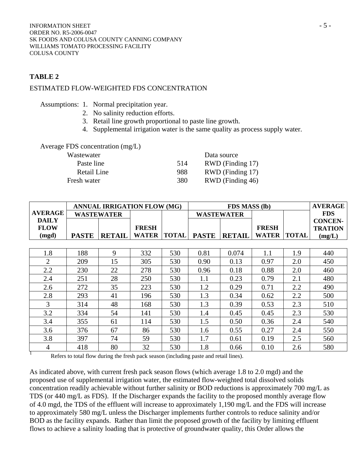### **TABLE 2**

### ESTIMATED FLOW-WEIGHTED FDS CONCENTRATION

|  |  |  | Assumptions: 1. Normal precipitation year. |
|--|--|--|--------------------------------------------|
|--|--|--|--------------------------------------------|

- 2. No salinity reduction efforts.
- 3. Retail line growth proportional to paste line growth.
- 4. Supplemental irrigation water is the same quality as process supply water.

#### Average FDS concentration (mg/L)

| Wastewater  |     | Data source      |
|-------------|-----|------------------|
| Paste line  | 514 | RWD (Finding 17) |
| Retail Line | 988 | RWD (Finding 17) |
| Fresh water | 380 | RWD (Finding 46) |

|                             | <b>ANNUAL IRRIGATION FLOW (MG)</b> |                   |                              |              | <b>FDS MASS (lb)</b> |               |                              |              |                                  |
|-----------------------------|------------------------------------|-------------------|------------------------------|--------------|----------------------|---------------|------------------------------|--------------|----------------------------------|
| <b>AVERAGE</b>              |                                    | <b>WASTEWATER</b> |                              |              | <b>WASTEWATER</b>    |               |                              |              | <b>FDS</b>                       |
| <b>DAILY</b><br><b>FLOW</b> |                                    |                   | <b>FRESH</b><br><b>WATER</b> |              |                      |               | <b>FRESH</b><br><b>WATER</b> |              | <b>CONCEN-</b><br><b>TRATION</b> |
| (mgd)                       | <b>PASTE</b>                       | <b>RETAIL</b>     |                              | <b>TOTAL</b> | <b>PASTE</b>         | <b>RETAIL</b> |                              | <b>TOTAL</b> | (mg/L)                           |
|                             |                                    |                   |                              |              |                      |               |                              |              |                                  |
| 1.8                         | 188                                | 9                 | 332                          | 530          | 0.81                 | 0.074         | 1.1                          | 1.9          | 440                              |
| $\overline{2}$              | 209                                | 15                | 305                          | 530          | 0.90                 | 0.13          | 0.97                         | 2.0          | 450                              |
| 2.2                         | 230                                | 22                | 278                          | 530          | 0.96                 | 0.18          | 0.88                         | 2.0          | 460                              |
| 2.4                         | 251                                | 28                | 250                          | 530          | 1.1                  | 0.23          | 0.79                         | 2.1          | 480                              |
| 2.6                         | 272                                | 35                | 223                          | 530          | 1.2                  | 0.29          | 0.71                         | 2.2          | 490                              |
| 2.8                         | 293                                | 41                | 196                          | 530          | 1.3                  | 0.34          | 0.62                         | 2.2          | 500                              |
| 3                           | 314                                | 48                | 168                          | 530          | 1.3                  | 0.39          | 0.53                         | 2.3          | 510                              |
| 3.2                         | 334                                | 54                | 141                          | 530          | 1.4                  | 0.45          | 0.45                         | 2.3          | 530                              |
| 3.4                         | 355                                | 61                | 114                          | 530          | 1.5                  | 0.50          | 0.36                         | 2.4          | 540                              |
| 3.6                         | 376                                | 67                | 86                           | 530          | 1.6                  | 0.55          | 0.27                         | 2.4          | 550                              |
| 3.8                         | 397                                | 74                | 59                           | 530          | 1.7                  | 0.61          | 0.19                         | 2.5          | 560                              |
| $\overline{4}$              | 418                                | 80                | 32                           | 530          | 1.8                  | 0.66          | 0.10                         | 2.6          | 580                              |

Refers to total flow during the fresh pack season (including paste and retail lines).

As indicated above, with current fresh pack season flows (which average 1.8 to 2.0 mgd) and the proposed use of supplemental irrigation water, the estimated flow-weighted total dissolved solids concentration readily achievable without further salinity or BOD reductions is approximately 700 mg/L as TDS (or 440 mg/L as FDS). If the Discharger expands the facility to the proposed monthly average flow of 4.0 mgd, the TDS of the effluent will increase to approximately 1,190 mg/L and the FDS will increase to approximately 580 mg/L unless the Discharger implements further controls to reduce salinity and/or BOD as the facility expands. Rather than limit the proposed growth of the facility by limiting effluent flows to achieve a salinity loading that is protective of groundwater quality, this Order allows the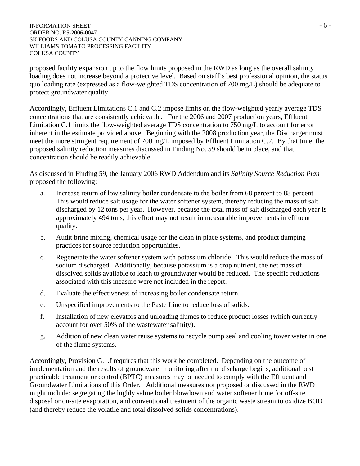#### INFORMATION SHEET  $-6 -$ ORDER NO. R5-2006-0047 SK FOODS AND COLUSA COUNTY CANNING COMPANY WILLIAMS TOMATO PROCESSING FACILITY COLUSA COUNTY

proposed facility expansion up to the flow limits proposed in the RWD as long as the overall salinity loading does not increase beyond a protective level. Based on staff's best professional opinion, the status quo loading rate (expressed as a flow-weighted TDS concentration of 700 mg/L) should be adequate to protect groundwater quality.

Accordingly, Effluent Limitations C.1 and C.2 impose limits on the flow-weighted yearly average TDS concentrations that are consistently achievable. For the 2006 and 2007 production years, Effluent Limitation C.1 limits the flow-weighted average TDS concentration to 750 mg/L to account for error inherent in the estimate provided above. Beginning with the 2008 production year, the Discharger must meet the more stringent requirement of 700 mg/L imposed by Effluent Limitation C.2. By that time, the proposed salinity reduction measures discussed in Finding No. 59 should be in place, and that concentration should be readily achievable.

As discussed in Finding 59, the January 2006 RWD Addendum and its *Salinity Source Reduction Plan* proposed the following:

- a. Increase return of low salinity boiler condensate to the boiler from 68 percent to 88 percent. This would reduce salt usage for the water softener system, thereby reducing the mass of salt discharged by 12 tons per year. However, because the total mass of salt discharged each year is approximately 494 tons, this effort may not result in measurable improvements in effluent quality.
- b. Audit brine mixing, chemical usage for the clean in place systems, and product dumping practices for source reduction opportunities.
- c. Regenerate the water softener system with potassium chloride. This would reduce the mass of sodium discharged. Additionally, because potassium is a crop nutrient, the net mass of dissolved solids available to leach to groundwater would be reduced. The specific reductions associated with this measure were not included in the report.
- d. Evaluate the effectiveness of increasing boiler condensate return.
- e. Unspecified improvements to the Paste Line to reduce loss of solids.
- f. Installation of new elevators and unloading flumes to reduce product losses (which currently account for over 50% of the wastewater salinity).
- g. Addition of new clean water reuse systems to recycle pump seal and cooling tower water in one of the flume systems.

Accordingly, Provision G.1.f requires that this work be completed. Depending on the outcome of implementation and the results of groundwater monitoring after the discharge begins, additional best practicable treatment or control (BPTC) measures may be needed to comply with the Effluent and Groundwater Limitations of this Order. Additional measures not proposed or discussed in the RWD might include: segregating the highly saline boiler blowdown and water softener brine for off-site disposal or on-site evaporation, and conventional treatment of the organic waste stream to oxidize BOD (and thereby reduce the volatile and total dissolved solids concentrations).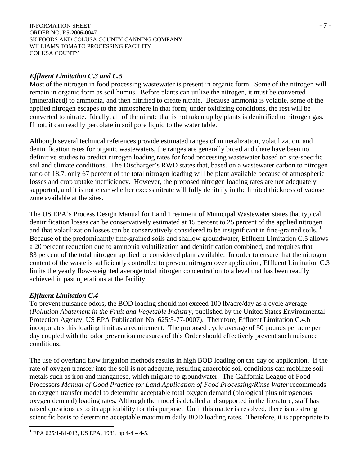#### INFORMATION SHEET  $-7$  -ORDER NO. R5-2006-0047 SK FOODS AND COLUSA COUNTY CANNING COMPANY WILLIAMS TOMATO PROCESSING FACILITY COLUSA COUNTY

### *Effluent Limitation C.3 and C.5*

Most of the nitrogen in food processing wastewater is present in organic form. Some of the nitrogen will remain in organic form as soil humus. Before plants can utilize the nitrogen, it must be converted (mineralized) to ammonia, and then nitrified to create nitrate. Because ammonia is volatile, some of the applied nitrogen escapes to the atmosphere in that form; under oxidizing conditions, the rest will be converted to nitrate. Ideally, all of the nitrate that is not taken up by plants is denitrified to nitrogen gas. If not, it can readily percolate in soil pore liquid to the water table.

Although several technical references provide estimated ranges of mineralization, volatilization, and denitrification rates for organic wastewaters, the ranges are generally broad and there have been no definitive studies to predict nitrogen loading rates for food processing wastewater based on site-specific soil and climate conditions. The Discharger's RWD states that, based on a wastewater carbon to nitrogen ratio of 18.7, only 67 percent of the total nitrogen loading will be plant available because of atmospheric losses and crop uptake inefficiency. However, the proposed nitrogen loading rates are not adequately supported, and it is not clear whether excess nitrate will fully denitrify in the limited thickness of vadose zone available at the sites.

The US EPA's Process Design Manual for Land Treatment of Municipal Wastewater states that typical denitrification losses can be conservatively estimated at 15 percent to 25 percent of the applied nitrogen and that volatilization losses can be conservatively considered to be insignificant in fine-grained soils. Because of the predominantly fine-grained soils and shallow groundwater, Effluent Limitation C.5 allows a 20 percent reduction due to ammonia volatilization and denitrification combined, and requires that 83 percent of the total nitrogen applied be considered plant available. In order to ensure that the nitrogen content of the waste is sufficiently controlled to prevent nitrogen over application, Effluent Limitation C.3 limits the yearly flow-weighted average total nitrogen concentration to a level that has been readily achieved in past operations at the facility.

## *Effluent Limitation C.4*

To prevent nuisance odors, the BOD loading should not exceed 100 lb/acre/day as a cycle average (*Pollution Abatement in the Fruit and Vegetable Industry*, published by the United States Environmental Protection Agency, US EPA Publication No. 625/3-77-0007). Therefore, Effluent Limitation C.4.b incorporates this loading limit as a requirement. The proposed cycle average of 50 pounds per acre per day coupled with the odor prevention measures of this Order should effectively prevent such nuisance conditions.

The use of overland flow irrigation methods results in high BOD loading on the day of application. If the rate of oxygen transfer into the soil is not adequate, resulting anaerobic soil conditions can mobilize soil metals such as iron and manganese, which migrate to groundwater. The California League of Food Processors *Manual of Good Practice for Land Application of Food Processing/Rinse Water* recommends an oxygen transfer model to determine acceptable total oxygen demand (biological plus nitrogenous oxygen demand) loading rates. Although the model is detailed and supported in the literature, staff has raised questions as to its applicability for this purpose. Until this matter is resolved, there is no strong scientific basis to determine acceptable maximum daily BOD loading rates. Therefore, it is appropriate to

 $\overline{a}$  $1$  EPA 625/1-81-013, US EPA, 1981, pp 4-4 - 4-5.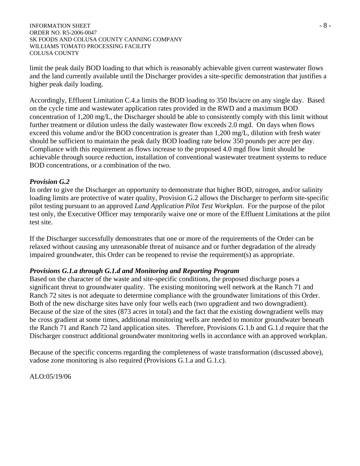#### INFORMATION SHEET  $-8$  -ORDER NO. R5-2006-0047 SK FOODS AND COLUSA COUNTY CANNING COMPANY WILLIAMS TOMATO PROCESSING FACILITY COLUSA COUNTY

limit the peak daily BOD loading to that which is reasonably achievable given current wastewater flows and the land currently available until the Discharger provides a site-specific demonstration that justifies a higher peak daily loading.

Accordingly, Effluent Limitation C.4.a limits the BOD loading to 350 lbs/acre on any single day. Based on the cycle time and wastewater application rates provided in the RWD and a maximum BOD concentration of 1,200 mg/L, the Discharger should be able to consistently comply with this limit without further treatment or dilution unless the daily wastewater flow exceeds 2.0 mgd. On days when flows exceed this volume and/or the BOD concentration is greater than 1,200 mg/L, dilution with fresh water should be sufficient to maintain the peak daily BOD loading rate below 350 pounds per acre per day. Compliance with this requirement as flows increase to the proposed 4.0 mgd flow limit should be achievable through source reduction, installation of conventional wastewater treatment systems to reduce BOD concentrations, or a combination of the two.

### *Provision G.2*

In order to give the Discharger an opportunity to demonstrate that higher BOD, nitrogen, and/or salinity loading limits are protective of water quality, Provision G.2 allows the Discharger to perform site-specific pilot testing pursuant to an approved *Land Application Pilot Test Workplan*. For the purpose of the pilot test only, the Executive Officer may temporarily waive one or more of the Effluent Limitations at the pilot test site.

If the Discharger successfully demonstrates that one or more of the requirements of the Order can be relaxed without causing any unreasonable threat of nuisance and or further degradation of the already impaired groundwater, this Order can be reopened to revise the requirement(s) as appropriate.

## *Provisions G.1.a through G.1.d and Monitoring and Reporting Program*

Based on the character of the waste and site-specific conditions, the proposed discharge poses a significant threat to groundwater quality. The existing monitoring well network at the Ranch 71 and Ranch 72 sites is not adequate to determine compliance with the groundwater limitations of this Order. Both of the new discharge sites have only four wells each (two upgradient and two downgradient). Because of the size of the sites (873 acres in total) and the fact that the existing downgradient wells may be cross gradient at some times, additional monitoring wells are needed to monitor groundwater beneath the Ranch 71 and Ranch 72 land application sites. Therefore, Provisions G.1.b and G.1.d require that the Discharger construct additional groundwater monitoring wells in accordance with an approved workplan.

Because of the specific concerns regarding the completeness of waste transformation (discussed above), vadose zone monitoring is also required (Provisions G.1.a and G.1.c).

ALO:05/19/06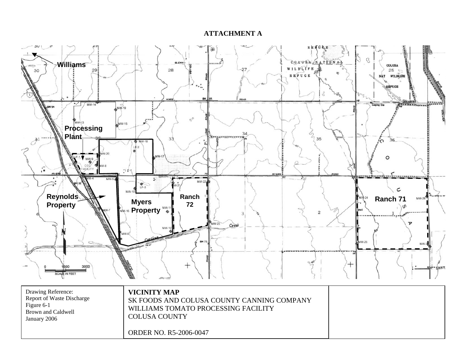#### **ATTACHMENT A**

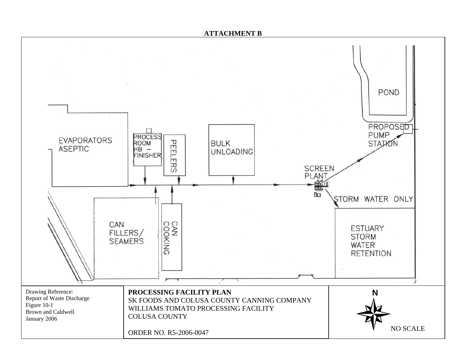#### **ATTACHMENT B**

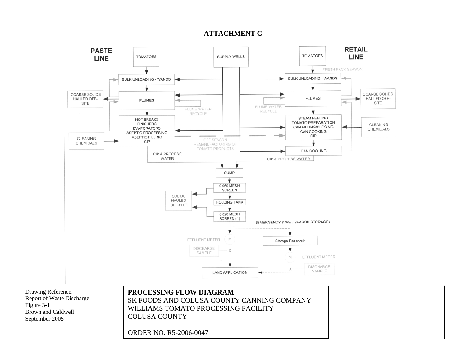#### **ATTACHMENT C**

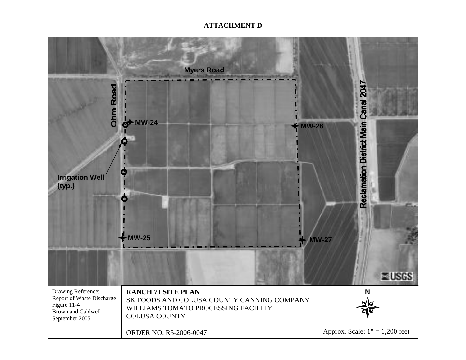### **ATTACHMENT D**

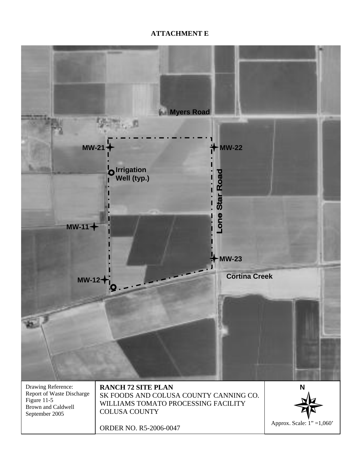## **ATTACHMENT E**

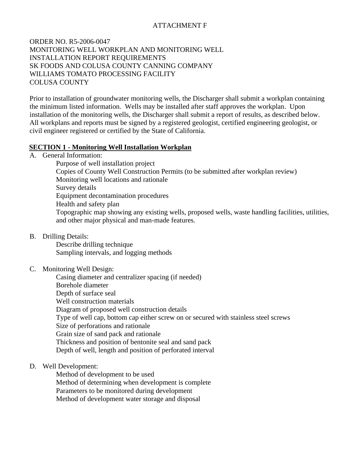## ATTACHMENT F

### ORDER NO. R5-2006-0047 MONITORING WELL WORKPLAN AND MONITORING WELL INSTALLATION REPORT REQUIREMENTS SK FOODS AND COLUSA COUNTY CANNING COMPANY WILLIAMS TOMATO PROCESSING FACILITY COLUSA COUNTY

Prior to installation of groundwater monitoring wells, the Discharger shall submit a workplan containing the minimum listed information. Wells may be installed after staff approves the workplan. Upon installation of the monitoring wells, the Discharger shall submit a report of results, as described below. All workplans and reports must be signed by a registered geologist, certified engineering geologist, or civil engineer registered or certified by the State of California.

### **SECTION 1 - Monitoring Well Installation Workplan**

A. General Information:

 Purpose of well installation project Copies of County Well Construction Permits (to be submitted after workplan review) Monitoring well locations and rationale Survey details Equipment decontamination procedures Health and safety plan Topographic map showing any existing wells, proposed wells, waste handling facilities, utilities, and other major physical and man-made features.

B. Drilling Details:

 Describe drilling technique Sampling intervals, and logging methods

C. Monitoring Well Design:

 Casing diameter and centralizer spacing (if needed) Borehole diameter Depth of surface seal Well construction materials Diagram of proposed well construction details Type of well cap, bottom cap either screw on or secured with stainless steel screws Size of perforations and rationale Grain size of sand pack and rationale Thickness and position of bentonite seal and sand pack Depth of well, length and position of perforated interval

D. Well Development:

 Method of development to be used Method of determining when development is complete Parameters to be monitored during development Method of development water storage and disposal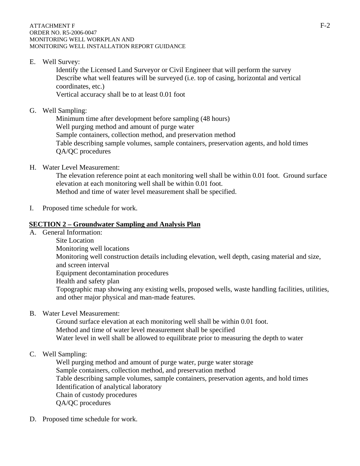E. Well Survey:

 Identify the Licensed Land Surveyor or Civil Engineer that will perform the survey Describe what well features will be surveyed (i.e. top of casing, horizontal and vertical coordinates, etc.) Vertical accuracy shall be to at least 0.01 foot

G. Well Sampling:

 Minimum time after development before sampling (48 hours) Well purging method and amount of purge water Sample containers, collection method, and preservation method Table describing sample volumes, sample containers, preservation agents, and hold times QA/QC procedures

H. Water Level Measurement:

 The elevation reference point at each monitoring well shall be within 0.01 foot. Ground surface elevation at each monitoring well shall be within 0.01 foot.

Method and time of water level measurement shall be specified.

I. Proposed time schedule for work.

## **SECTION 2 – Groundwater Sampling and Analysis Plan**

A. General Information: Site Location Monitoring well locations Monitoring well construction details including elevation, well depth, casing material and size, and screen interval Equipment decontamination procedures Health and safety plan Topographic map showing any existing wells, proposed wells, waste handling facilities, utilities, and other major physical and man-made features.

B. Water Level Measurement:

 Ground surface elevation at each monitoring well shall be within 0.01 foot. Method and time of water level measurement shall be specified Water level in well shall be allowed to equilibrate prior to measuring the depth to water

## C. Well Sampling:

 Well purging method and amount of purge water, purge water storage Sample containers, collection method, and preservation method Table describing sample volumes, sample containers, preservation agents, and hold times Identification of analytical laboratory Chain of custody procedures QA/QC procedures

D. Proposed time schedule for work.